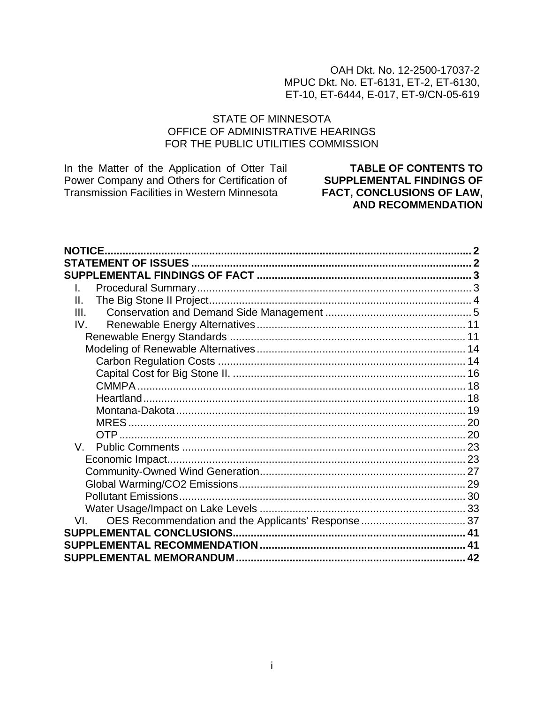### OAH Dkt. No. 12-2500-17037-2 MPUC Dkt. No. ET-6131, ET-2, ET-6130, ET-10, ET-6444, E-017, ET-9/CN-05-619

### **STATE OF MINNESOTA** OFFICE OF ADMINISTRATIVE HEARINGS FOR THE PUBLIC UTILITIES COMMISSION

In the Matter of the Application of Otter Tail Power Company and Others for Certification of Transmission Facilities in Western Minnesota

**TABLE OF CONTENTS TO SUPPLEMENTAL FINDINGS OF** FACT, CONCLUSIONS OF LAW, **AND RECOMMENDATION** 

| <b>NOTICE</b> |  |
|---------------|--|
|               |  |
|               |  |
| L.            |  |
| Н.            |  |
| III.          |  |
| IV.           |  |
|               |  |
|               |  |
|               |  |
|               |  |
|               |  |
|               |  |
|               |  |
|               |  |
|               |  |
| $V_{\perp}$   |  |
|               |  |
|               |  |
|               |  |
|               |  |
|               |  |
| VL –          |  |
|               |  |
|               |  |
|               |  |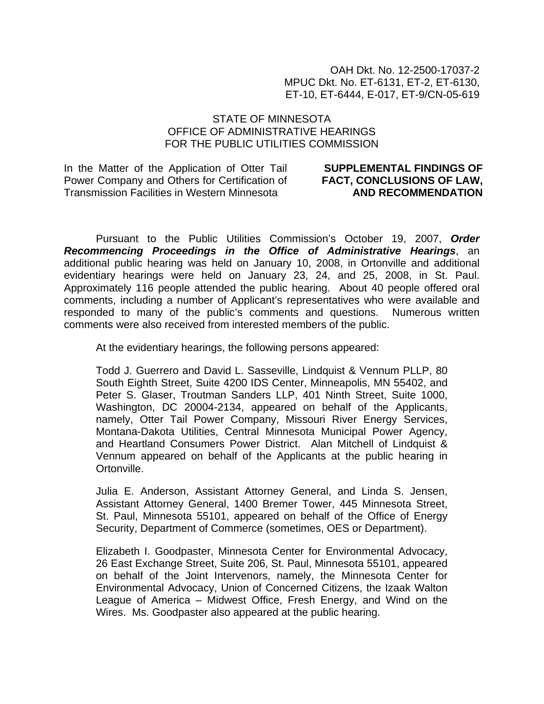OAH Dkt. No. 12-2500-17037-2 MPUC Dkt. No. ET-6131, ET-2, ET-6130, ET-10, ET-6444, E-017, ET-9/CN-05-619

#### STATE OF MINNESOTA OFFICE OF ADMINISTRATIVE HEARINGS FOR THE PUBLIC UTILITIES COMMISSION

In the Matter of the Application of Otter Tail Power Company and Others for Certification of Transmission Facilities in Western Minnesota

#### **SUPPLEMENTAL FINDINGS OF FACT, CONCLUSIONS OF LAW, AND RECOMMENDATION**

Pursuant to the Public Utilities Commission's October 19, 2007, *Order Recommencing Proceedings in the Office of Administrative Hearings*, an additional public hearing was held on January 10, 2008, in Ortonville and additional evidentiary hearings were held on January 23, 24, and 25, 2008, in St. Paul. Approximately 116 people attended the public hearing. About 40 people offered oral comments, including a number of Applicant's representatives who were available and responded to many of the public's comments and questions. Numerous written comments were also received from interested members of the public.

At the evidentiary hearings, the following persons appeared:

Todd J. Guerrero and David L. Sasseville, Lindquist & Vennum PLLP, 80 South Eighth Street, Suite 4200 IDS Center, Minneapolis, MN 55402, and Peter S. Glaser, Troutman Sanders LLP, 401 Ninth Street, Suite 1000, Washington, DC 20004-2134, appeared on behalf of the Applicants, namely, Otter Tail Power Company, Missouri River Energy Services, Montana-Dakota Utilities, Central Minnesota Municipal Power Agency, and Heartland Consumers Power District. Alan Mitchell of Lindquist & Vennum appeared on behalf of the Applicants at the public hearing in Ortonville.

Julia E. Anderson, Assistant Attorney General, and Linda S. Jensen, Assistant Attorney General, 1400 Bremer Tower, 445 Minnesota Street, St. Paul, Minnesota 55101, appeared on behalf of the Office of Energy Security, Department of Commerce (sometimes, OES or Department).

Elizabeth I. Goodpaster, Minnesota Center for Environmental Advocacy, 26 East Exchange Street, Suite 206, St. Paul, Minnesota 55101, appeared on behalf of the Joint Intervenors, namely, the Minnesota Center for Environmental Advocacy, Union of Concerned Citizens, the Izaak Walton League of America – Midwest Office, Fresh Energy, and Wind on the Wires. Ms. Goodpaster also appeared at the public hearing.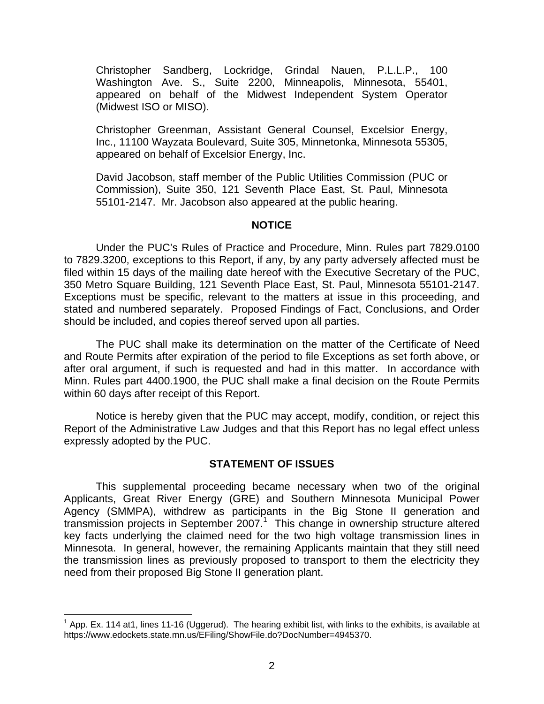<span id="page-2-0"></span>Christopher Sandberg, Lockridge, Grindal Nauen, P.L.L.P., 100 Washington Ave. S., Suite 2200, Minneapolis, Minnesota, 55401, appeared on behalf of the Midwest Independent System Operator (Midwest ISO or MISO).

Christopher Greenman, Assistant General Counsel, Excelsior Energy, Inc., 11100 Wayzata Boulevard, Suite 305, Minnetonka, Minnesota 55305, appeared on behalf of Excelsior Energy, Inc.

David Jacobson, staff member of the Public Utilities Commission (PUC or Commission), Suite 350, 121 Seventh Place East, St. Paul, Minnesota 55101-2147. Mr. Jacobson also appeared at the public hearing.

#### **NOTICE**

Under the PUC's Rules of Practice and Procedure, Minn. Rules part 7829.0100 to 7829.3200, exceptions to this Report, if any, by any party adversely affected must be filed within 15 days of the mailing date hereof with the Executive Secretary of the PUC, 350 Metro Square Building, 121 Seventh Place East, St. Paul, Minnesota 55101-2147. Exceptions must be specific, relevant to the matters at issue in this proceeding, and stated and numbered separately. Proposed Findings of Fact, Conclusions, and Order should be included, and copies thereof served upon all parties.

The PUC shall make its determination on the matter of the Certificate of Need and Route Permits after expiration of the period to file Exceptions as set forth above, or after oral argument, if such is requested and had in this matter. In accordance with Minn. Rules part 4400.1900, the PUC shall make a final decision on the Route Permits within 60 days after receipt of this Report.

Notice is hereby given that the PUC may accept, modify, condition, or reject this Report of the Administrative Law Judges and that this Report has no legal effect unless expressly adopted by the PUC.

#### **STATEMENT OF ISSUES**

This supplemental proceeding became necessary when two of the original Applicants, Great River Energy (GRE) and Southern Minnesota Municipal Power Agency (SMMPA), withdrew as participants in the Big Stone II generation and transmission projects in September 2007.<sup>[1](#page-2-1)</sup> This change in ownership structure altered key facts underlying the claimed need for the two high voltage transmission lines in Minnesota. In general, however, the remaining Applicants maintain that they still need the transmission lines as previously proposed to transport to them the electricity they need from their proposed Big Stone II generation plant.

<span id="page-2-1"></span> <sup>1</sup> App. Ex. 114 at1, lines 11-16 (Uggerud). The hearing exhibit list, with links to the exhibits, is available at https://www.edockets.state.mn.us/EFiling/ShowFile.do?DocNumber=4945370.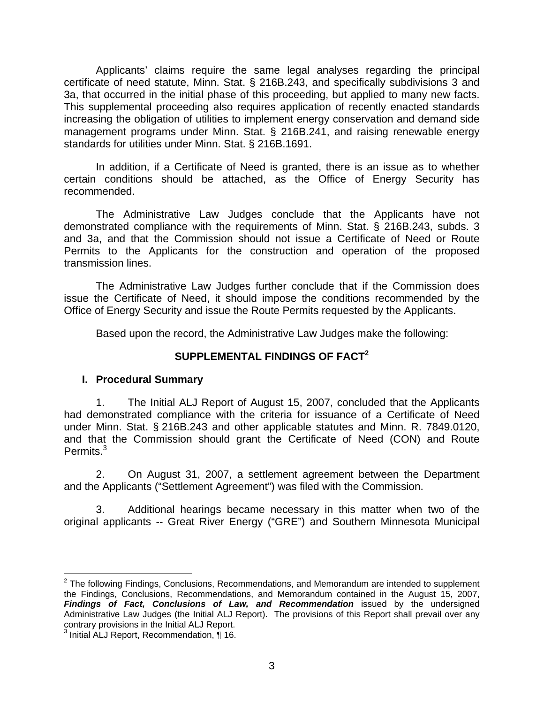<span id="page-3-0"></span>Applicants' claims require the same legal analyses regarding the principal certificate of need statute, Minn. Stat. § 216B.243, and specifically subdivisions 3 and 3a, that occurred in the initial phase of this proceeding, but applied to many new facts. This supplemental proceeding also requires application of recently enacted standards increasing the obligation of utilities to implement energy conservation and demand side management programs under Minn. Stat. § 216B.241, and raising renewable energy standards for utilities under Minn. Stat. § 216B.1691.

In addition, if a Certificate of Need is granted, there is an issue as to whether certain conditions should be attached, as the Office of Energy Security has recommended.

The Administrative Law Judges conclude that the Applicants have not demonstrated compliance with the requirements of Minn. Stat. § 216B.243, subds. 3 and 3a, and that the Commission should not issue a Certificate of Need or Route Permits to the Applicants for the construction and operation of the proposed transmission lines.

The Administrative Law Judges further conclude that if the Commission does issue the Certificate of Need, it should impose the conditions recommended by the Office of Energy Security and issue the Route Permits requested by the Applicants.

Based upon the record, the Administrative Law Judges make the following:

### **SUPPLEMENTAL FINDINGS OF FACT[2](#page-3-1)**

#### **I. Procedural Summary**

1. The Initial ALJ Report of August 15, 2007, concluded that the Applicants had demonstrated compliance with the criteria for issuance of a Certificate of Need under Minn. Stat. § 216B.243 and other applicable statutes and Minn. R. 7849.0120, and that the Commission should grant the Certificate of Need (CON) and Route Permits.<sup>3</sup>

2. On August 31, 2007, a settlement agreement between the Department and the Applicants ("Settlement Agreement") was filed with the Commission.

3. Additional hearings became necessary in this matter when two of the original applicants -- Great River Energy ("GRE") and Southern Minnesota Municipal

<span id="page-3-1"></span> <sup>2</sup> The following Findings, Conclusions, Recommendations, and Memorandum are intended to supplement the Findings, Conclusions, Recommendations, and Memorandum contained in the August 15, 2007, *Findings of Fact, Conclusions of Law, and Recommendation* issued by the undersigned Administrative Law Judges (the Initial ALJ Report). The provisions of this Report shall prevail over any contrary provisions in the Initial ALJ Report.<br><sup>3</sup> Initial ALJ Report, Recommendation, ¶ 16.

<span id="page-3-2"></span>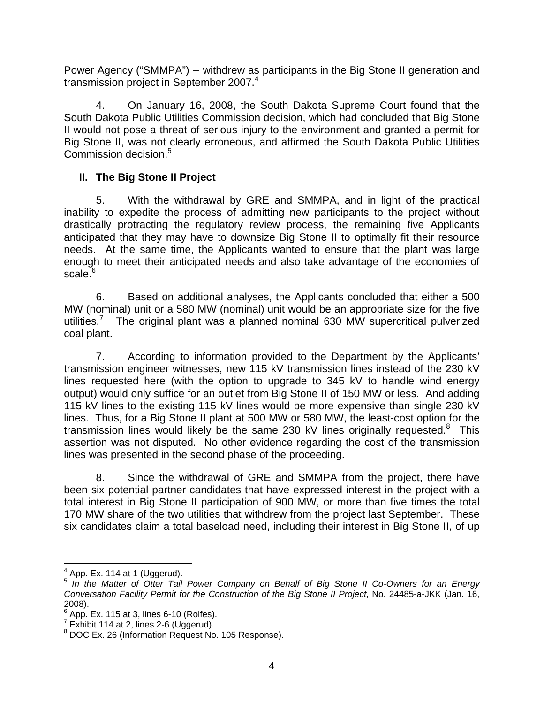<span id="page-4-0"></span>Power Agency ("SMMPA") -- withdrew as participants in the Big Stone II generation and transmission project in September 2007.<sup>[4](#page-4-1)</sup>

4. On January 16, 2008, the South Dakota Supreme Court found that the South Dakota Public Utilities Commission decision, which had concluded that Big Stone II would not pose a threat of serious injury to the environment and granted a permit for Big Stone II, was not clearly erroneous, and affirmed the South Dakota Public Utilities Commission decision.<sup>[5](#page-4-2)</sup>

## **II. The Big Stone II Project**

5. With the withdrawal by GRE and SMMPA, and in light of the practical inability to expedite the process of admitting new participants to the project without drastically protracting the regulatory review process, the remaining five Applicants anticipated that they may have to downsize Big Stone II to optimally fit their resource needs. At the same time, the Applicants wanted to ensure that the plant was large enough to meet their anticipated needs and also take advantage of the economies of scale.<sup>[6](#page-4-3)</sup>

6. Based on additional analyses, the Applicants concluded that either a 500 MW (nominal) unit or a 580 MW (nominal) unit would be an appropriate size for the five utilities.<sup>7</sup> The original plant was a planned nominal 630 MW supercritical pulverized coal plant.

7. According to information provided to the Department by the Applicants' transmission engineer witnesses, new 115 kV transmission lines instead of the 230 kV lines requested here (with the option to upgrade to 345 kV to handle wind energy output) would only suffice for an outlet from Big Stone II of 150 MW or less. And adding 115 kV lines to the existing 115 kV lines would be more expensive than single 230 kV lines. Thus, for a Big Stone II plant at 500 MW or 580 MW, the least-cost option for the transmission lines would likely be the same 230 kV lines originally requested. $8$  This assertion was not disputed. No other evidence regarding the cost of the transmission lines was presented in the second phase of the proceeding.

8. Since the withdrawal of GRE and SMMPA from the project, there have been six potential partner candidates that have expressed interest in the project with a total interest in Big Stone II participation of 900 MW, or more than five times the total 170 MW share of the two utilities that withdrew from the project last September. These six candidates claim a total baseload need, including their interest in Big Stone II, of up

<sup>-&</sup>lt;br><sup>4</sup> App. Ex. 114 at 1 (Uggerud).

<span id="page-4-2"></span><span id="page-4-1"></span><sup>5</sup> *In the Matter of Otter Tail Power Company on Behalf of Big Stone II Co-Owners for an Energy Conversation Facility Permit for the Construction of the Big Stone II Project*, No. 24485-a-JKK (Jan. 16,  $2008$ ).

<span id="page-4-3"></span> $6$  App. Ex. 115 at 3, lines 6-10 (Rolfes).

<span id="page-4-4"></span> $^7$  Exhibit 114 at 2, lines 2-6 (Uggerud).

<span id="page-4-5"></span>DOC Ex. 26 (Information Request No. 105 Response).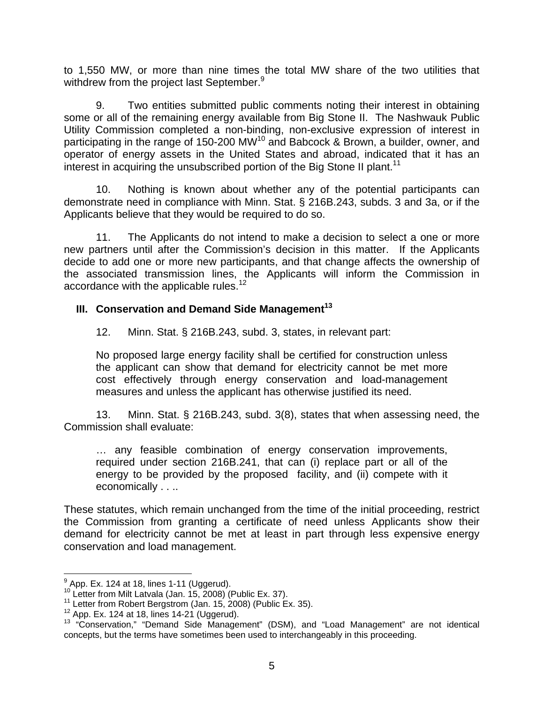<span id="page-5-0"></span>to 1,550 MW, or more than nine times the total MW share of the two utilities that withdrew from the project last September.<sup>9</sup>

9. Two entities submitted public comments noting their interest in obtaining some or all of the remaining energy available from Big Stone II. The Nashwauk Public Utility Commission completed a non-binding, non-exclusive expression of interest in participating in the range of 150-200 MW<sup>10</sup> and Babcock & Brown, a builder, owner, and operator of energy assets in the United States and abroad, indicated that it has an interest in acquiring the unsubscribed portion of the Big Stone II plant.<sup>[11](#page-5-3)</sup>

10. Nothing is known about whether any of the potential participants can demonstrate need in compliance with Minn. Stat. § 216B.243, subds. 3 and 3a, or if the Applicants believe that they would be required to do so.

11. The Applicants do not intend to make a decision to select a one or more new partners until after the Commission's decision in this matter. If the Applicants decide to add one or more new participants, and that change affects the ownership of the associated transmission lines, the Applicants will inform the Commission in accordance with the applicable rules.<sup>[12](#page-5-4)</sup>

#### **III. Conservation and Demand Side Management[13](#page-5-5)**

12. Minn. Stat. § 216B.243, subd. 3, states, in relevant part:

No proposed large energy facility shall be certified for construction unless the applicant can show that demand for electricity cannot be met more cost effectively through energy conservation and load-management measures and unless the applicant has otherwise justified its need.

13. Minn. Stat. § 216B.243, subd. 3(8), states that when assessing need, the Commission shall evaluate:

… any feasible combination of energy conservation improvements, required under section 216B.241, that can (i) replace part or all of the energy to be provided by the proposed facility, and (ii) compete with it economically . . ..

These statutes, which remain unchanged from the time of the initial proceeding, restrict the Commission from granting a certificate of need unless Applicants show their demand for electricity cannot be met at least in part through less expensive energy conservation and load management.

<span id="page-5-1"></span> $9$  App. Ex. 124 at 18, lines 1-11 (Uggerud).

<span id="page-5-2"></span>

<span id="page-5-3"></span>

<span id="page-5-5"></span><span id="page-5-4"></span>

<sup>&</sup>lt;sup>10</sup> Letter from Milt Latvala (Jan. 15, 2008) (Public Ex. 37).<br><sup>11</sup> Letter from Robert Bergstrom (Jan. 15, 2008) (Public Ex. 35).<br><sup>12</sup> App. Ex. 124 at 18, lines 14-21 (Uggerud).<br><sup>13</sup> "Conservation," "Demand Side Management concepts, but the terms have sometimes been used to interchangeably in this proceeding.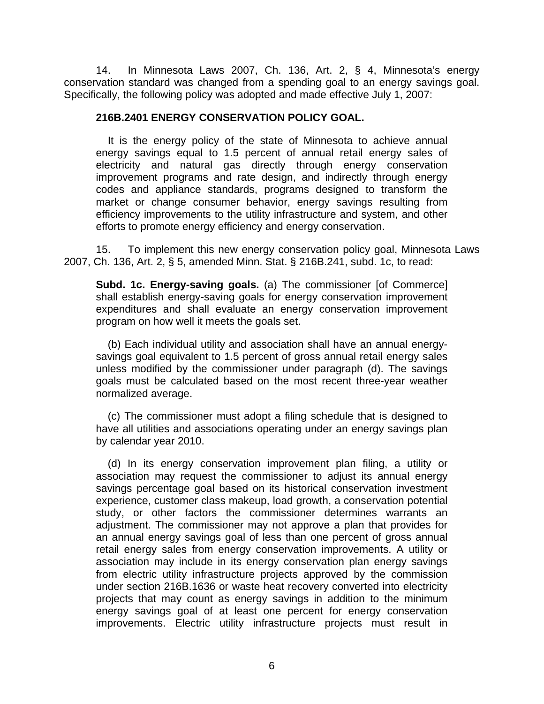14. In Minnesota Laws 2007, Ch. 136, Art. 2, § 4, Minnesota's energy conservation standard was changed from a spending goal to an energy savings goal. Specifically, the following policy was adopted and made effective July 1, 2007:

#### **216B.2401 ENERGY CONSERVATION POLICY GOAL.**

It is the energy policy of the state of Minnesota to achieve annual energy savings equal to 1.5 percent of annual retail energy sales of electricity and natural gas directly through energy conservation improvement programs and rate design, and indirectly through energy codes and appliance standards, programs designed to transform the market or change consumer behavior, energy savings resulting from efficiency improvements to the utility infrastructure and system, and other efforts to promote energy efficiency and energy conservation.

15. To implement this new energy conservation policy goal, Minnesota Laws 2007, Ch. 136, Art. 2, § 5, amended Minn. Stat. § 216B.241, subd. 1c, to read:

**Subd. 1c. Energy-saving goals.** (a) The commissioner [of Commerce] shall establish energy-saving goals for energy conservation improvement expenditures and shall evaluate an energy conservation improvement program on how well it meets the goals set.

(b) Each individual utility and association shall have an annual energysavings goal equivalent to 1.5 percent of gross annual retail energy sales unless modified by the commissioner under paragraph (d). The savings goals must be calculated based on the most recent three-year weather normalized average.

 (c) The commissioner must adopt a filing schedule that is designed to have all utilities and associations operating under an energy savings plan by calendar year 2010.

(d) In its energy conservation improvement plan filing, a utility or association may request the commissioner to adjust its annual energy savings percentage goal based on its historical conservation investment experience, customer class makeup, load growth, a conservation potential study, or other factors the commissioner determines warrants an adjustment. The commissioner may not approve a plan that provides for an annual energy savings goal of less than one percent of gross annual retail energy sales from energy conservation improvements. A utility or association may include in its energy conservation plan energy savings from electric utility infrastructure projects approved by the commission under section 216B.1636 or waste heat recovery converted into electricity projects that may count as energy savings in addition to the minimum energy savings goal of at least one percent for energy conservation improvements. Electric utility infrastructure projects must result in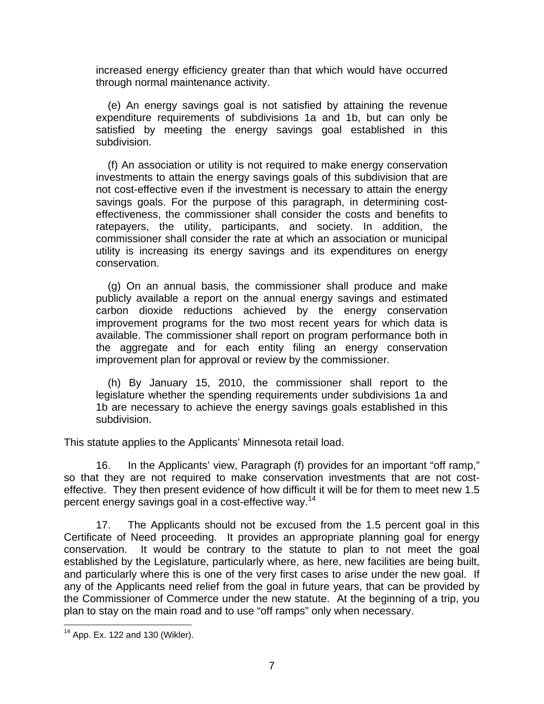increased energy efficiency greater than that which would have occurred through normal maintenance activity.

(e) An energy savings goal is not satisfied by attaining the revenue expenditure requirements of subdivisions 1a and 1b, but can only be satisfied by meeting the energy savings goal established in this subdivision.

(f) An association or utility is not required to make energy conservation investments to attain the energy savings goals of this subdivision that are not cost-effective even if the investment is necessary to attain the energy savings goals. For the purpose of this paragraph, in determining costeffectiveness, the commissioner shall consider the costs and benefits to ratepayers, the utility, participants, and society. In addition, the commissioner shall consider the rate at which an association or municipal utility is increasing its energy savings and its expenditures on energy conservation.

(g) On an annual basis, the commissioner shall produce and make publicly available a report on the annual energy savings and estimated carbon dioxide reductions achieved by the energy conservation improvement programs for the two most recent years for which data is available. The commissioner shall report on program performance both in the aggregate and for each entity filing an energy conservation improvement plan for approval or review by the commissioner.

(h) By January 15, 2010, the commissioner shall report to the legislature whether the spending requirements under subdivisions 1a and 1b are necessary to achieve the energy savings goals established in this subdivision.

This statute applies to the Applicants' Minnesota retail load.

16. In the Applicants' view, Paragraph (f) provides for an important "off ramp," so that they are not required to make conservation investments that are not costeffective. They then present evidence of how difficult it will be for them to meet new 1.5 percent energy savings goal in a cost-effective way.<sup>14</sup>

17. The Applicants should not be excused from the 1.5 percent goal in this Certificate of Need proceeding. It provides an appropriate planning goal for energy conservation. It would be contrary to the statute to plan to not meet the goal established by the Legislature, particularly where, as here, new facilities are being built, and particularly where this is one of the very first cases to arise under the new goal. If any of the Applicants need relief from the goal in future years, that can be provided by the Commissioner of Commerce under the new statute. At the beginning of a trip, you plan to stay on the main road and to use "off ramps" only when necessary.

<span id="page-7-0"></span> $14$  App. Ex. 122 and 130 (Wikler).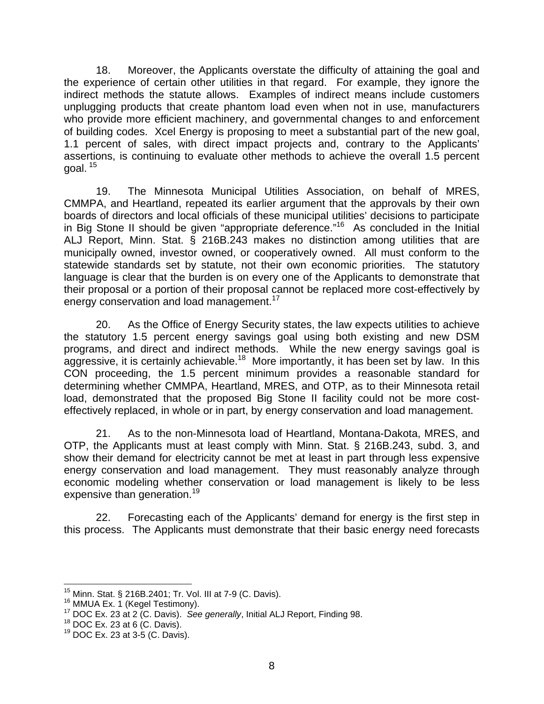18. Moreover, the Applicants overstate the difficulty of attaining the goal and the experience of certain other utilities in that regard. For example, they ignore the indirect methods the statute allows. Examples of indirect means include customers unplugging products that create phantom load even when not in use, manufacturers who provide more efficient machinery, and governmental changes to and enforcement of building codes. Xcel Energy is proposing to meet a substantial part of the new goal, 1.1 percent of sales, with direct impact projects and, contrary to the Applicants' assertions, is continuing to evaluate other methods to achieve the overall 1.5 percent goal.  $15$ 

19. The Minnesota Municipal Utilities Association, on behalf of MRES, CMMPA, and Heartland, repeated its earlier argument that the approvals by their own boards of directors and local officials of these municipal utilities' decisions to participate in Big Stone II should be given "appropriate deference."<sup>16</sup> As concluded in the Initial ALJ Report, Minn. Stat. § 216B.243 makes no distinction among utilities that are municipally owned, investor owned, or cooperatively owned. All must conform to the statewide standards set by statute, not their own economic priorities. The statutory language is clear that the burden is on every one of the Applicants to demonstrate that their proposal or a portion of their proposal cannot be replaced more cost-effectively by energy conservation and load management.<sup>[17](#page-8-2)</sup>

20. As the Office of Energy Security states, the law expects utilities to achieve the statutory 1.5 percent energy savings goal using both existing and new DSM programs, and direct and indirect methods. While the new energy savings goal is aggressive, it is certainly achievable.<sup>18</sup> More importantly, it has been set by law. In this CON proceeding, the 1.5 percent minimum provides a reasonable standard for determining whether CMMPA, Heartland, MRES, and OTP, as to their Minnesota retail load, demonstrated that the proposed Big Stone II facility could not be more costeffectively replaced, in whole or in part, by energy conservation and load management.

21. As to the non-Minnesota load of Heartland, Montana-Dakota, MRES, and OTP, the Applicants must at least comply with Minn. Stat. § 216B.243, subd. 3, and show their demand for electricity cannot be met at least in part through less expensive energy conservation and load management. They must reasonably analyze through economic modeling whether conservation or load management is likely to be less expensive than generation.<sup>19</sup>

22. Forecasting each of the Applicants' demand for energy is the first step in this process. The Applicants must demonstrate that their basic energy need forecasts

<span id="page-8-0"></span>

<span id="page-8-1"></span>

<sup>&</sup>lt;sup>15</sup> Minn. Stat. § 216B.2401; Tr. Vol. III at 7-9 (C. Davis).<br><sup>16</sup> MMUA Ex. 1 (Kegel Testimony).<br><sup>17</sup> DOC Ex. 23 at 2 (C. Davis). See generally, Initial ALJ Report, Finding 98.<br><sup>18</sup> DOC Ex. 23 at 6 (C. Davis).

<span id="page-8-3"></span><span id="page-8-2"></span>

<span id="page-8-4"></span>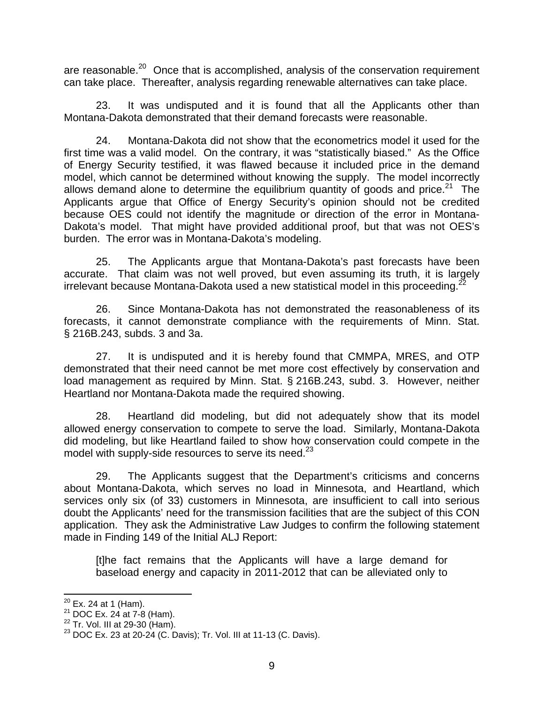are reasonable.<sup>20</sup> Once that is accomplished, analysis of the conservation requirement can take place. Thereafter, analysis regarding renewable alternatives can take place.

23. It was undisputed and it is found that all the Applicants other than Montana-Dakota demonstrated that their demand forecasts were reasonable.

24. Montana-Dakota did not show that the econometrics model it used for the first time was a valid model. On the contrary, it was "statistically biased." As the Office of Energy Security testified, it was flawed because it included price in the demand model, which cannot be determined without knowing the supply. The model incorrectly allows demand alone to determine the equilibrium quantity of goods and price.<sup>21</sup> The Applicants argue that Office of Energy Security's opinion should not be credited because OES could not identify the magnitude or direction of the error in Montana-Dakota's model. That might have provided additional proof, but that was not OES's burden. The error was in Montana-Dakota's modeling.

25. The Applicants argue that Montana-Dakota's past forecasts have been accurate. That claim was not well proved, but even assuming its truth, it is largely irrelevant because Montana-Dakota used a new statistical model in this proceeding.<sup>2</sup>

26. Since Montana-Dakota has not demonstrated the reasonableness of its forecasts, it cannot demonstrate compliance with the requirements of Minn. Stat. § 216B.243, subds. 3 and 3a.

27. It is undisputed and it is hereby found that CMMPA, MRES, and OTP demonstrated that their need cannot be met more cost effectively by conservation and load management as required by Minn. Stat. § 216B.243, subd. 3. However, neither Heartland nor Montana-Dakota made the required showing.

28. Heartland did modeling, but did not adequately show that its model allowed energy conservation to compete to serve the load. Similarly, Montana-Dakota did modeling, but like Heartland failed to show how conservation could compete in the model with supply-side resources to serve its need.<sup>[23](#page-9-3)</sup>

29. The Applicants suggest that the Department's criticisms and concerns about Montana-Dakota, which serves no load in Minnesota, and Heartland, which services only six (of 33) customers in Minnesota, are insufficient to call into serious doubt the Applicants' need for the transmission facilities that are the subject of this CON application. They ask the Administrative Law Judges to confirm the following statement made in Finding 149 of the Initial ALJ Report:

[t]he fact remains that the Applicants will have a large demand for baseload energy and capacity in 2011-2012 that can be alleviated only to

<span id="page-9-0"></span>

<span id="page-9-1"></span>

<span id="page-9-3"></span><span id="page-9-2"></span>

<sup>&</sup>lt;sup>20</sup> Ex. 24 at 1 (Ham).<br><sup>21</sup> DOC Ex. 24 at 7-8 (Ham).<br><sup>22</sup> Tr. Vol. III at 29-30 (Ham).<br><sup>23</sup> DOC Ex. 23 at 20-24 (C. Davis); Tr. Vol. III at 11-13 (C. Davis).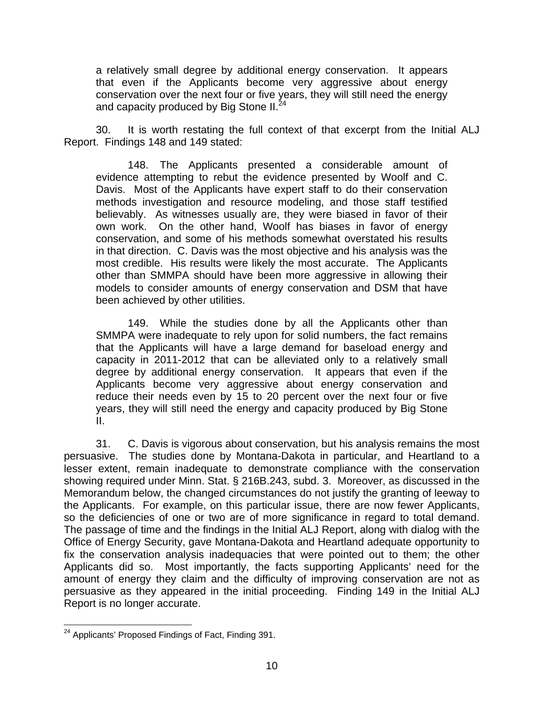a relatively small degree by additional energy conservation. It appears that even if the Applicants become very aggressive about energy conservation over the next four or five years, they will still need the energy and capacity produced by Big Stone II.<sup>[24](#page-10-0)</sup>

30. It is worth restating the full context of that excerpt from the Initial ALJ Report. Findings 148 and 149 stated:

148. The Applicants presented a considerable amount of evidence attempting to rebut the evidence presented by Woolf and C. Davis. Most of the Applicants have expert staff to do their conservation methods investigation and resource modeling, and those staff testified believably. As witnesses usually are, they were biased in favor of their own work. On the other hand, Woolf has biases in favor of energy conservation, and some of his methods somewhat overstated his results in that direction. C. Davis was the most objective and his analysis was the most credible. His results were likely the most accurate. The Applicants other than SMMPA should have been more aggressive in allowing their models to consider amounts of energy conservation and DSM that have been achieved by other utilities.

149. While the studies done by all the Applicants other than SMMPA were inadequate to rely upon for solid numbers, the fact remains that the Applicants will have a large demand for baseload energy and capacity in 2011-2012 that can be alleviated only to a relatively small degree by additional energy conservation. It appears that even if the Applicants become very aggressive about energy conservation and reduce their needs even by 15 to 20 percent over the next four or five years, they will still need the energy and capacity produced by Big Stone II.

31. C. Davis is vigorous about conservation, but his analysis remains the most persuasive. The studies done by Montana-Dakota in particular, and Heartland to a lesser extent, remain inadequate to demonstrate compliance with the conservation showing required under Minn. Stat. § 216B.243, subd. 3. Moreover, as discussed in the Memorandum below, the changed circumstances do not justify the granting of leeway to the Applicants. For example, on this particular issue, there are now fewer Applicants, so the deficiencies of one or two are of more significance in regard to total demand. The passage of time and the findings in the Initial ALJ Report, along with dialog with the Office of Energy Security, gave Montana-Dakota and Heartland adequate opportunity to fix the conservation analysis inadequacies that were pointed out to them; the other Applicants did so. Most importantly, the facts supporting Applicants' need for the amount of energy they claim and the difficulty of improving conservation are not as persuasive as they appeared in the initial proceeding. Finding 149 in the Initial ALJ Report is no longer accurate.

<span id="page-10-0"></span><sup>&</sup>lt;sup>24</sup> Applicants' Proposed Findings of Fact, Finding 391.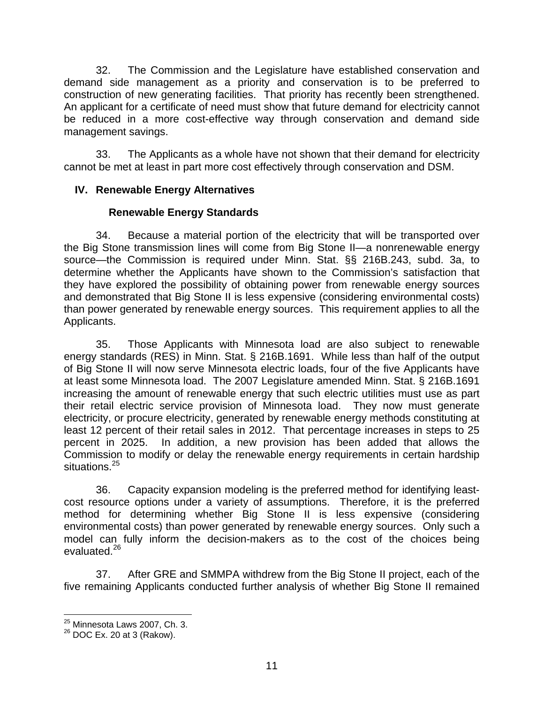<span id="page-11-0"></span>32. The Commission and the Legislature have established conservation and demand side management as a priority and conservation is to be preferred to construction of new generating facilities. That priority has recently been strengthened. An applicant for a certificate of need must show that future demand for electricity cannot be reduced in a more cost-effective way through conservation and demand side management savings.

33. The Applicants as a whole have not shown that their demand for electricity cannot be met at least in part more cost effectively through conservation and DSM.

## **IV. Renewable Energy Alternatives**

## **Renewable Energy Standards**

34. Because a material portion of the electricity that will be transported over the Big Stone transmission lines will come from Big Stone II—a nonrenewable energy source—the Commission is required under Minn. Stat. §§ 216B.243, subd. 3a, to determine whether the Applicants have shown to the Commission's satisfaction that they have explored the possibility of obtaining power from renewable energy sources and demonstrated that Big Stone II is less expensive (considering environmental costs) than power generated by renewable energy sources. This requirement applies to all the Applicants.

35. Those Applicants with Minnesota load are also subject to renewable energy standards (RES) in Minn. Stat. § 216B.1691. While less than half of the output of Big Stone II will now serve Minnesota electric loads, four of the five Applicants have at least some Minnesota load. The 2007 Legislature amended Minn. Stat. § 216B.1691 increasing the amount of renewable energy that such electric utilities must use as part their retail electric service provision of Minnesota load. They now must generate electricity, or procure electricity, generated by renewable energy methods constituting at least 12 percent of their retail sales in 2012. That percentage increases in steps to 25 percent in 2025. In addition, a new provision has been added that allows the Commission to modify or delay the renewable energy requirements in certain hardship situations.<sup>[25](#page-11-1)</sup>

36. Capacity expansion modeling is the preferred method for identifying leastcost resource options under a variety of assumptions. Therefore, it is the preferred method for determining whether Big Stone II is less expensive (considering environmental costs) than power generated by renewable energy sources. Only such a model can fully inform the decision-makers as to the cost of the choices being evaluated.<sup>26</sup>

37. After GRE and SMMPA withdrew from the Big Stone II project, each of the five remaining Applicants conducted further analysis of whether Big Stone II remained

<span id="page-11-1"></span> <sup>25</sup> Minnesota Laws 2007, Ch. 3.

<span id="page-11-2"></span><sup>&</sup>lt;sup>26</sup> DOC Ex. 20 at 3 (Rakow).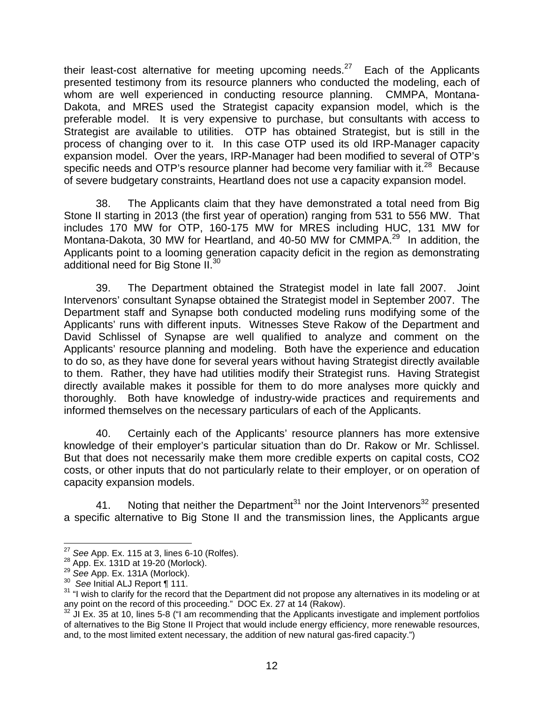their least-cost alternative for meeting upcoming needs. $27$  Each of the Applicants presented testimony from its resource planners who conducted the modeling, each of whom are well experienced in conducting resource planning. CMMPA, Montana-Dakota, and MRES used the Strategist capacity expansion model, which is the preferable model. It is very expensive to purchase, but consultants with access to Strategist are available to utilities. OTP has obtained Strategist, but is still in the process of changing over to it. In this case OTP used its old IRP-Manager capacity expansion model. Over the years, IRP-Manager had been modified to several of OTP's specific needs and OTP's resource planner had become very familiar with it. $^{28}$  Because of severe budgetary constraints, Heartland does not use a capacity expansion model.

38. The Applicants claim that they have demonstrated a total need from Big Stone II starting in 2013 (the first year of operation) ranging from 531 to 556 MW. That includes 170 MW for OTP, 160-175 MW for MRES including HUC, 131 MW for Montana-Dakota, 30 MW for Heartland, and 40-50 MW for CMMPA.<sup>29</sup> In addition, the Applicants point to a looming generation capacity deficit in the region as demonstrating additional need for Big Stone II.<sup>30</sup>

39. The Department obtained the Strategist model in late fall 2007. Joint Intervenors' consultant Synapse obtained the Strategist model in September 2007. The Department staff and Synapse both conducted modeling runs modifying some of the Applicants' runs with different inputs. Witnesses Steve Rakow of the Department and David Schlissel of Synapse are well qualified to analyze and comment on the Applicants' resource planning and modeling. Both have the experience and education to do so, as they have done for several years without having Strategist directly available to them. Rather, they have had utilities modify their Strategist runs. Having Strategist directly available makes it possible for them to do more analyses more quickly and thoroughly. Both have knowledge of industry-wide practices and requirements and informed themselves on the necessary particulars of each of the Applicants.

40. Certainly each of the Applicants' resource planners has more extensive knowledge of their employer's particular situation than do Dr. Rakow or Mr. Schlissel. But that does not necessarily make them more credible experts on capital costs, CO2 costs, or other inputs that do not particularly relate to their employer, or on operation of capacity expansion models.

41. Noting that neither the Department<sup>31</sup> nor the Joint Intervenors<sup>32</sup> presented a specific alternative to Big Stone II and the transmission lines, the Applicants argue

<span id="page-12-0"></span>

<span id="page-12-1"></span>

<span id="page-12-2"></span>

<span id="page-12-4"></span><span id="page-12-3"></span>

<sup>&</sup>lt;sup>27</sup> See App. Ex. 115 at 3, lines 6-10 (Rolfes).<br><sup>28</sup> App. Ex. 131D at 19-20 (Morlock).<br><sup>29</sup> See App. Ex. 131A (Morlock).<br><sup>30</sup> See Initial ALJ Report ¶ 111.<br><sup>31</sup> "I wish to clarify for the record that the Department did n

<span id="page-12-5"></span> $32$  JI Ex. 35 at 10, lines 5-8 ("I am recommending that the Applicants investigate and implement portfolios of alternatives to the Big Stone II Project that would include energy efficiency, more renewable resources, and, to the most limited extent necessary, the addition of new natural gas-fired capacity.")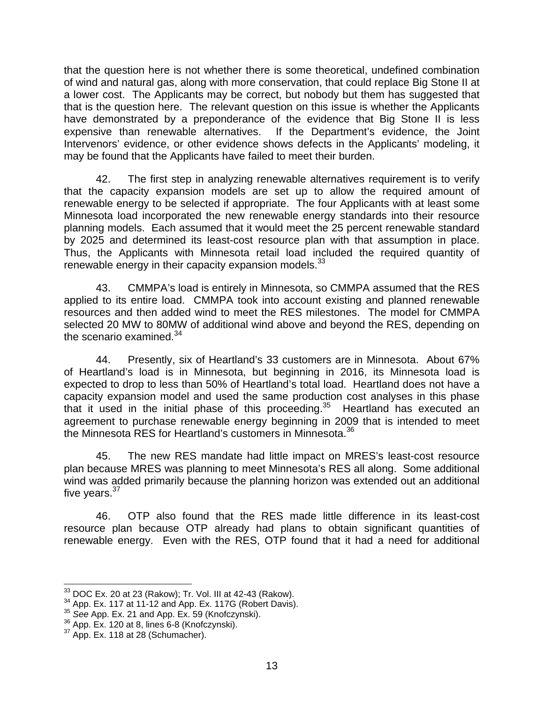that the question here is not whether there is some theoretical, undefined combination of wind and natural gas, along with more conservation, that could replace Big Stone II at a lower cost. The Applicants may be correct, but nobody but them has suggested that that is the question here. The relevant question on this issue is whether the Applicants have demonstrated by a preponderance of the evidence that Big Stone II is less expensive than renewable alternatives. If the Department's evidence, the Joint Intervenors' evidence, or other evidence shows defects in the Applicants' modeling, it may be found that the Applicants have failed to meet their burden.

42. The first step in analyzing renewable alternatives requirement is to verify that the capacity expansion models are set up to allow the required amount of renewable energy to be selected if appropriate. The four Applicants with at least some Minnesota load incorporated the new renewable energy standards into their resource planning models. Each assumed that it would meet the 25 percent renewable standard by 2025 and determined its least-cost resource plan with that assumption in place. Thus, the Applicants with Minnesota retail load included the required quantity of renewable energy in their capacity expansion models.<sup>[33](#page-13-0)</sup>

43. CMMPA's load is entirely in Minnesota, so CMMPA assumed that the RES applied to its entire load. CMMPA took into account existing and planned renewable resources and then added wind to meet the RES milestones. The model for CMMPA selected 20 MW to 80MW of additional wind above and beyond the RES, depending on the scenario examined. $34$ 

44. Presently, six of Heartland's 33 customers are in Minnesota. About 67% of Heartland's load is in Minnesota, but beginning in 2016, its Minnesota load is expected to drop to less than 50% of Heartland's total load. Heartland does not have a capacity expansion model and used the same production cost analyses in this phase that it used in the initial phase of this proceeding.<sup>35</sup> Heartland has executed an agreement to purchase renewable energy beginning in 2009 that is intended to meet the Minnesota RES for Heartland's customers in Minnesota.<sup>36</sup>

45. The new RES mandate had little impact on MRES's least-cost resource plan because MRES was planning to meet Minnesota's RES all along. Some additional wind was added primarily because the planning horizon was extended out an additional five years. $37$ 

46. OTP also found that the RES made little difference in its least-cost resource plan because OTP already had plans to obtain significant quantities of renewable energy. Even with the RES, OTP found that it had a need for additional

<span id="page-13-1"></span><span id="page-13-0"></span>

<sup>&</sup>lt;sup>33</sup> DOC Ex. 20 at 23 (Rakow); Tr. Vol. III at 42-43 (Rakow).<br><sup>34</sup> App. Ex. 117 at 11-12 and App. Ex. 117G (Robert Davis).<br><sup>35</sup> See App. Ex. 21 and App. Ex. 59 (Knofczynski).<br><sup>36</sup> App. Ex. 120 at 8, lines 6-8 (Knofczynski

<span id="page-13-2"></span>

<span id="page-13-3"></span>

<span id="page-13-4"></span>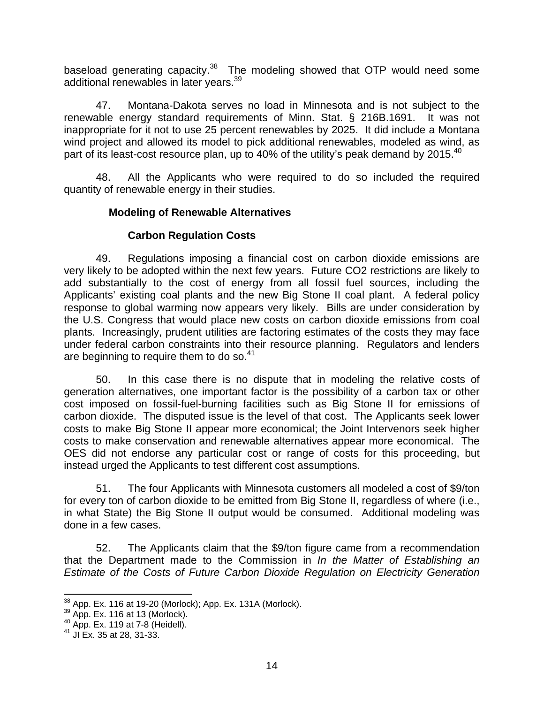<span id="page-14-0"></span>baseload generating capacity. $38$  The modeling showed that OTP would need some additional renewables in later years.<sup>39</sup>

47. Montana-Dakota serves no load in Minnesota and is not subject to the renewable energy standard requirements of Minn. Stat. § 216B.1691. It was not inappropriate for it not to use 25 percent renewables by 2025. It did include a Montana wind project and allowed its model to pick additional renewables, modeled as wind, as part of its least-cost resource plan, up to [40](#page-14-3)% of the utility's peak demand by 2015.<sup>40</sup>

48. All the Applicants who were required to do so included the required quantity of renewable energy in their studies.

## **Modeling of Renewable Alternatives**

## **Carbon Regulation Costs**

49. Regulations imposing a financial cost on carbon dioxide emissions are very likely to be adopted within the next few years. Future CO2 restrictions are likely to add substantially to the cost of energy from all fossil fuel sources, including the Applicants' existing coal plants and the new Big Stone II coal plant. A federal policy response to global warming now appears very likely. Bills are under consideration by the U.S. Congress that would place new costs on carbon dioxide emissions from coal plants. Increasingly, prudent utilities are factoring estimates of the costs they may face under federal carbon constraints into their resource planning. Regulators and lenders are beginning to require them to do so. $41$ 

50. In this case there is no dispute that in modeling the relative costs of generation alternatives, one important factor is the possibility of a carbon tax or other cost imposed on fossil-fuel-burning facilities such as Big Stone II for emissions of carbon dioxide. The disputed issue is the level of that cost. The Applicants seek lower costs to make Big Stone II appear more economical; the Joint Intervenors seek higher costs to make conservation and renewable alternatives appear more economical. The OES did not endorse any particular cost or range of costs for this proceeding, but instead urged the Applicants to test different cost assumptions.

51. The four Applicants with Minnesota customers all modeled a cost of \$9/ton for every ton of carbon dioxide to be emitted from Big Stone II, regardless of where (i.e., in what State) the Big Stone II output would be consumed. Additional modeling was done in a few cases.

52. The Applicants claim that the \$9/ton figure came from a recommendation that the Department made to the Commission in *In the Matter of Establishing an Estimate of the Costs of Future Carbon Dioxide Regulation on Electricity Generation* 

<span id="page-14-1"></span><sup>&</sup>lt;sup>38</sup> App. Ex. 116 at 19-20 (Morlock); App. Ex. 131A (Morlock).<br><sup>39</sup> App. Ex. 116 at 13 (Morlock).<br><sup>40</sup> App. Ex. 119 at 7-8 (Heidell).<br><sup>41</sup> JI Ex. 35 at 28, 31-33.

<span id="page-14-2"></span>

<span id="page-14-3"></span>

<span id="page-14-4"></span>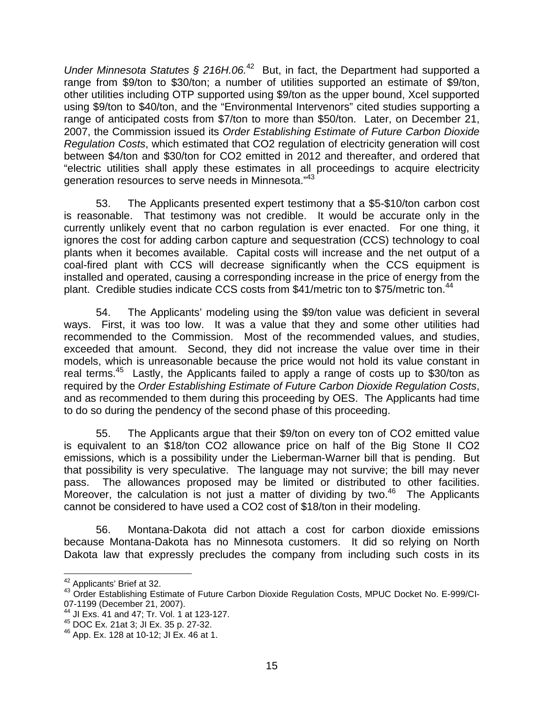*Under Minnesota Statutes § 216H.06.*<sup>42</sup> But, in fact, the Department had supported a range from \$9/ton to \$30/ton; a number of utilities supported an estimate of \$9/ton, other utilities including OTP supported using \$9/ton as the upper bound, Xcel supported using \$9/ton to \$40/ton, and the "Environmental Intervenors" cited studies supporting a range of anticipated costs from \$7/ton to more than \$50/ton. Later, on December 21, 2007, the Commission issued its *Order Establishing Estimate of Future Carbon Dioxide Regulation Costs*, which estimated that CO2 regulation of electricity generation will cost between \$4/ton and \$30/ton for CO2 emitted in 2012 and thereafter, and ordered that "electric utilities shall apply these estimates in all proceedings to acquire electricity generation resources to serve needs in Minnesota."[43](#page-15-1)

53. The Applicants presented expert testimony that a \$5-\$10/ton carbon cost is reasonable. That testimony was not credible. It would be accurate only in the currently unlikely event that no carbon regulation is ever enacted. For one thing, it ignores the cost for adding carbon capture and sequestration (CCS) technology to coal plants when it becomes available. Capital costs will increase and the net output of a coal-fired plant with CCS will decrease significantly when the CCS equipment is installed and operated, causing a corresponding increase in the price of energy from the plant. Credible studies indicate CCS costs from \$41/metric ton to \$75/metric ton.<sup>[44](#page-15-2)</sup>

54. The Applicants' modeling using the \$9/ton value was deficient in several ways. First, it was too low. It was a value that they and some other utilities had recommended to the Commission. Most of the recommended values, and studies, exceeded that amount. Second, they did not increase the value over time in their models, which is unreasonable because the price would not hold its value constant in real terms.<sup>45</sup> Lastly, the Applicants failed to apply a range of costs up to \$30/ton as required by the *Order Establishing Estimate of Future Carbon Dioxide Regulation Costs*, and as recommended to them during this proceeding by OES. The Applicants had time to do so during the pendency of the second phase of this proceeding.

55. The Applicants argue that their \$9/ton on every ton of CO2 emitted value is equivalent to an \$18/ton CO2 allowance price on half of the Big Stone II CO2 emissions, which is a possibility under the Lieberman-Warner bill that is pending. But that possibility is very speculative. The language may not survive; the bill may never pass. The allowances proposed may be limited or distributed to other facilities. Moreover, the calculation is not just a matter of dividing by two.<sup>46</sup> The Applicants cannot be considered to have used a CO2 cost of \$18/ton in their modeling.

56. Montana-Dakota did not attach a cost for carbon dioxide emissions because Montana-Dakota has no Minnesota customers. It did so relying on North Dakota law that expressly precludes the company from including such costs in its

<span id="page-15-0"></span> <sup>42</sup> Applicants' Brief at 32.

<span id="page-15-1"></span><sup>&</sup>lt;sup>43</sup> Order Establishing Estimate of Future Carbon Dioxide Regulation Costs, MPUC Docket No. E-999/CI-<br>07-1199 (December 21, 2007).

<span id="page-15-2"></span><sup>&</sup>lt;sup>44</sup> JI Exs. 41 and 47; Tr. Vol. 1 at 123-127.<br><sup>45</sup> DOC Ex. 21at 3; JI Ex. 35 p. 27-32.

<span id="page-15-3"></span>

<span id="page-15-4"></span> $46$  App. Ex. 128 at 10-12; JI Ex. 46 at 1.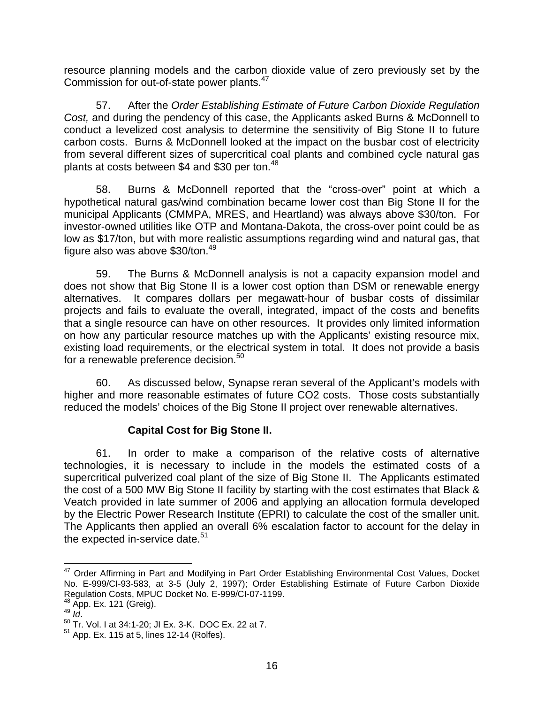<span id="page-16-0"></span>resource planning models and the carbon dioxide value of zero previously set by the Commission for out-of-state power plants[.47](#page-16-1) 

57. After the *Order Establishing Estimate of Future Carbon Dioxide Regulation Cost,* and during the pendency of this case, the Applicants asked Burns & McDonnell to conduct a levelized cost analysis to determine the sensitivity of Big Stone II to future carbon costs. Burns & McDonnell looked at the impact on the busbar cost of electricity from several different sizes of supercritical coal plants and combined cycle natural gas plants at costs between \$4 and \$30 per ton.<sup>[48](#page-16-2)</sup>

58. Burns & McDonnell reported that the "cross-over" point at which a hypothetical natural gas/wind combination became lower cost than Big Stone II for the municipal Applicants (CMMPA, MRES, and Heartland) was always above \$30/ton. For investor-owned utilities like OTP and Montana-Dakota, the cross-over point could be as low as \$17/ton, but with more realistic assumptions regarding wind and natural gas, that figure also was above  $$30/t$ on.<sup>[49](#page-16-3)</sup>

59. The Burns & McDonnell analysis is not a capacity expansion model and does not show that Big Stone II is a lower cost option than DSM or renewable energy alternatives. It compares dollars per megawatt-hour of busbar costs of dissimilar projects and fails to evaluate the overall, integrated, impact of the costs and benefits that a single resource can have on other resources. It provides only limited information on how any particular resource matches up with the Applicants' existing resource mix, existing load requirements, or the electrical system in total. It does not provide a basis for a renewable preference decision.<sup>50</sup>

60. As discussed below, Synapse reran several of the Applicant's models with higher and more reasonable estimates of future CO2 costs. Those costs substantially reduced the models' choices of the Big Stone II project over renewable alternatives.

### **Capital Cost for Big Stone II.**

61. In order to make a comparison of the relative costs of alternative technologies, it is necessary to include in the models the estimated costs of a supercritical pulverized coal plant of the size of Big Stone II. The Applicants estimated the cost of a 500 MW Big Stone II facility by starting with the cost estimates that Black & Veatch provided in late summer of 2006 and applying an allocation formula developed by the Electric Power Research Institute (EPRI) to calculate the cost of the smaller unit. The Applicants then applied an overall 6% escalation factor to account for the delay in the expected in-service date. $51$ 

<span id="page-16-2"></span>

<span id="page-16-1"></span><sup>&</sup>lt;sup>47</sup> Order Affirming in Part and Modifying in Part Order Establishing Environmental Cost Values, Docket No. E-999/CI-93-583, at 3-5 (July 2, 1997); Order Establishing Estimate of Future Carbon Dioxide Regulation Costs, MPUC Docket No. E-999/CI-07-1199.<br><sup>48</sup> App. Ex. 121 (Greig).

<span id="page-16-4"></span><span id="page-16-3"></span>

<sup>48</sup> App. Ex. 121 (Greig). 49 *Id*. 50 Tr. Vol. I at 34:1-20; JI Ex. 3-K. DOC Ex. 22 at 7.

<span id="page-16-5"></span> $51$  App. Ex. 115 at 5, lines 12-14 (Rolfes).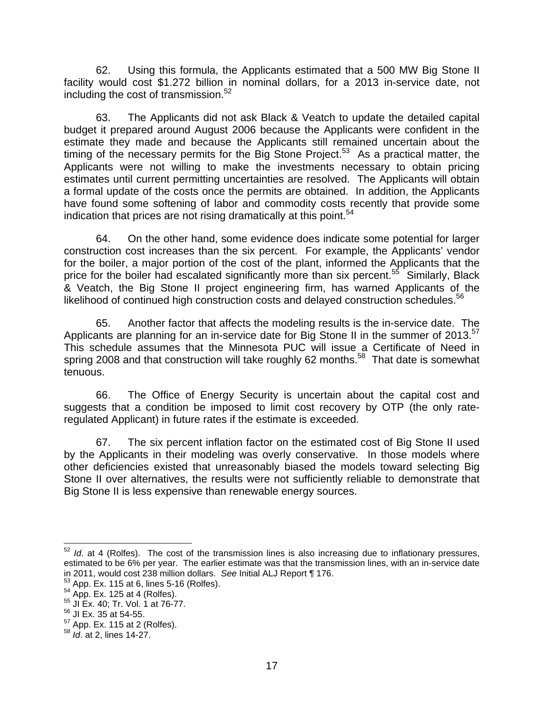62. Using this formula, the Applicants estimated that a 500 MW Big Stone II facility would cost \$1.272 billion in nominal dollars, for a 2013 in-service date, not including the cost of transmission.<sup>52</sup>

63. The Applicants did not ask Black & Veatch to update the detailed capital budget it prepared around August 2006 because the Applicants were confident in the estimate they made and because the Applicants still remained uncertain about the timing of the necessary permits for the Big Stone Project.<sup>53</sup> As a practical matter, the Applicants were not willing to make the investments necessary to obtain pricing estimates until current permitting uncertainties are resolved. The Applicants will obtain a formal update of the costs once the permits are obtained. In addition, the Applicants have found some softening of labor and commodity costs recently that provide some indication that prices are not rising dramatically at this point.<sup>[54](#page-17-2)</sup>

64. On the other hand, some evidence does indicate some potential for larger construction cost increases than the six percent. For example, the Applicants' vendor for the boiler, a major portion of the cost of the plant, informed the Applicants that the price for the boiler had escalated significantly more than six percent.<sup>55</sup> Similarly, Black & Veatch, the Big Stone II project engineering firm, has warned Applicants of the likelihood of continued high construction costs and delayed construction schedules.<sup>[56](#page-17-4)</sup>

65. Another factor that affects the modeling results is the in-service date. The Applicants are planning for an in-service date for Big Stone II in the summer of 2013.<sup>57</sup> This schedule assumes that the Minnesota PUC will issue a Certificate of Need in spring 2008 and that construction will take roughly 62 months.<sup>58</sup> That date is somewhat tenuous.

66. The Office of Energy Security is uncertain about the capital cost and suggests that a condition be imposed to limit cost recovery by OTP (the only rateregulated Applicant) in future rates if the estimate is exceeded.

67. The six percent inflation factor on the estimated cost of Big Stone II used by the Applicants in their modeling was overly conservative. In those models where other deficiencies existed that unreasonably biased the models toward selecting Big Stone II over alternatives, the results were not sufficiently reliable to demonstrate that Big Stone II is less expensive than renewable energy sources.

<span id="page-17-0"></span><sup>&</sup>lt;sup>52</sup> *Id.* at 4 (Rolfes). The cost of the transmission lines is also increasing due to inflationary pressures, estimated to be 6% per year. The earlier estimate was that the transmission lines, with an in-service date in 2011, would cost 238 million dollars. *See* Initial ALJ Report ¶ 176.<br><sup>53</sup> App. Ex. 115 at 6, lines 5-16 (Rolfes).<br><sup>54</sup> App. Ex. 125 at 4 (Rolfes).<br><sup>55</sup> JI Ex. 40; Tr. Vol. 1 at 76-77.

<span id="page-17-1"></span>

<span id="page-17-2"></span>

<span id="page-17-3"></span>

<span id="page-17-4"></span>

 $^{56}$  JI Ex. 35 at 54-55.<br> $^{57}$  App. Ex. 115 at 2 (Rolfes).

<span id="page-17-6"></span><span id="page-17-5"></span><sup>57</sup> App. Ex. 115 at 2 (Rolfes). <sup>58</sup> *Id*. at 2, lines 14-27.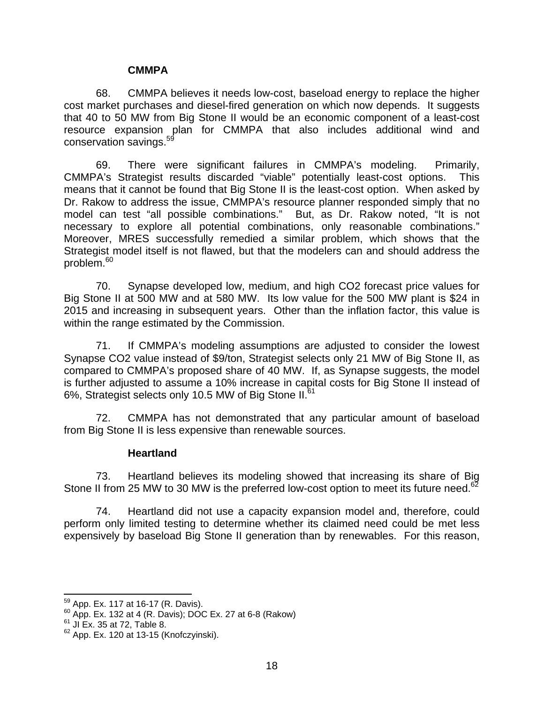#### **CMMPA**

<span id="page-18-0"></span>68. CMMPA believes it needs low-cost, baseload energy to replace the higher cost market purchases and diesel-fired generation on which now depends. It suggests that 40 to 50 MW from Big Stone II would be an economic component of a least-cost resource expansion plan for CMMPA that also includes additional wind and conservation savings.<sup>5</sup>

69. There were significant failures in CMMPA's modeling. Primarily, CMMPA's Strategist results discarded "viable" potentially least-cost options. This means that it cannot be found that Big Stone II is the least-cost option. When asked by Dr. Rakow to address the issue, CMMPA's resource planner responded simply that no model can test "all possible combinations." But, as Dr. Rakow noted, "It is not necessary to explore all potential combinations, only reasonable combinations." Moreover, MRES successfully remedied a similar problem, which shows that the Strategist model itself is not flawed, but that the modelers can and should address the problem.<sup>60</sup>

70. Synapse developed low, medium, and high CO2 forecast price values for Big Stone II at 500 MW and at 580 MW. Its low value for the 500 MW plant is \$24 in 2015 and increasing in subsequent years. Other than the inflation factor, this value is within the range estimated by the Commission.

71. If CMMPA's modeling assumptions are adjusted to consider the lowest Synapse CO2 value instead of \$9/ton, Strategist selects only 21 MW of Big Stone II, as compared to CMMPA's proposed share of 40 MW. If, as Synapse suggests, the model is further adjusted to assume a 10% increase in capital costs for Big Stone II instead of 6%, Strategist selects only 10.5 MW of Big Stone II.<sup>[61](#page-18-3)</sup>

72. CMMPA has not demonstrated that any particular amount of baseload from Big Stone II is less expensive than renewable sources.

#### **Heartland**

73. Heartland believes its modeling showed that increasing its share of Big Stone II from 25 MW to 30 MW is the preferred low-cost option to meet its future need.<sup>[62](#page-18-4)</sup>

74. Heartland did not use a capacity expansion model and, therefore, could perform only limited testing to determine whether its claimed need could be met less expensively by baseload Big Stone II generation than by renewables. For this reason,

<span id="page-18-2"></span><span id="page-18-1"></span>

 $^{59}$  App. Ex. 117 at 16-17 (R. Davis).<br> $^{60}$  App. Ex. 132 at 4 (R. Davis); DOC Ex. 27 at 6-8 (Rakow)  $^{61}$  JI Ex. 35 at 72, Table 8.

<span id="page-18-3"></span>

<span id="page-18-4"></span><sup>62</sup> App. Ex. 120 at 13-15 (Knofczyinski).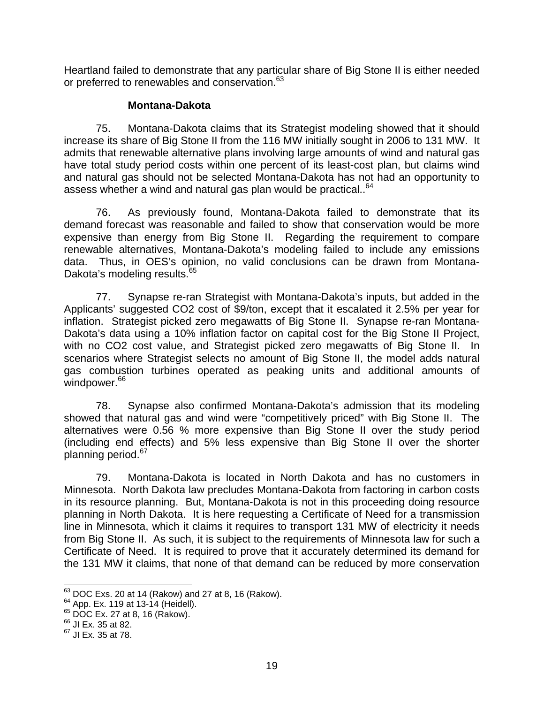<span id="page-19-0"></span>Heartland failed to demonstrate that any particular share of Big Stone II is either needed or preferred to renewables and conservation.<sup>63</sup>

#### **Montana-Dakota**

75. Montana-Dakota claims that its Strategist modeling showed that it should increase its share of Big Stone II from the 116 MW initially sought in 2006 to 131 MW. It admits that renewable alternative plans involving large amounts of wind and natural gas have total study period costs within one percent of its least-cost plan, but claims wind and natural gas should not be selected Montana-Dakota has not had an opportunity to assess whether a wind and natural gas plan would be practical..<sup>[64](#page-19-2)</sup>

76. As previously found, Montana-Dakota failed to demonstrate that its demand forecast was reasonable and failed to show that conservation would be more expensive than energy from Big Stone II. Regarding the requirement to compare renewable alternatives, Montana-Dakota's modeling failed to include any emissions data. Thus, in OES's opinion, no valid conclusions can be drawn from Montana-Dakota's modeling results.<sup>[65](#page-19-3)</sup>

77. Synapse re-ran Strategist with Montana-Dakota's inputs, but added in the Applicants' suggested CO2 cost of \$9/ton, except that it escalated it 2.5% per year for inflation. Strategist picked zero megawatts of Big Stone II. Synapse re-ran Montana-Dakota's data using a 10% inflation factor on capital cost for the Big Stone II Project, with no CO2 cost value, and Strategist picked zero megawatts of Big Stone II. In scenarios where Strategist selects no amount of Big Stone II, the model adds natural gas combustion turbines operated as peaking units and additional amounts of windpower.<sup>[66](#page-19-4)</sup>

78. Synapse also confirmed Montana-Dakota's admission that its modeling showed that natural gas and wind were "competitively priced" with Big Stone II. The alternatives were 0.56 % more expensive than Big Stone II over the study period (including end effects) and 5% less expensive than Big Stone II over the shorter planning period.<sup>[67](#page-19-5)</sup>

79. Montana-Dakota is located in North Dakota and has no customers in Minnesota. North Dakota law precludes Montana-Dakota from factoring in carbon costs in its resource planning. But, Montana-Dakota is not in this proceeding doing resource planning in North Dakota. It is here requesting a Certificate of Need for a transmission line in Minnesota, which it claims it requires to transport 131 MW of electricity it needs from Big Stone II. As such, it is subject to the requirements of Minnesota law for such a Certificate of Need. It is required to prove that it accurately determined its demand for the 131 MW it claims, that none of that demand can be reduced by more conservation

<span id="page-19-1"></span><sup>&</sup>lt;sup>63</sup> DOC Exs. 20 at 14 (Rakow) and 27 at 8, 16 (Rakow).<br><sup>64</sup> App. Ex. 119 at 13-14 (Heidell).<br><sup>65</sup> DOC Ex. 27 at 8, 16 (Rakow).<br><sup>66</sup> JI Ex. 35 at 82.<br><sup>67</sup> JI Ex. 35 at 78.

<span id="page-19-2"></span>

<span id="page-19-3"></span>

<span id="page-19-4"></span>

<span id="page-19-5"></span>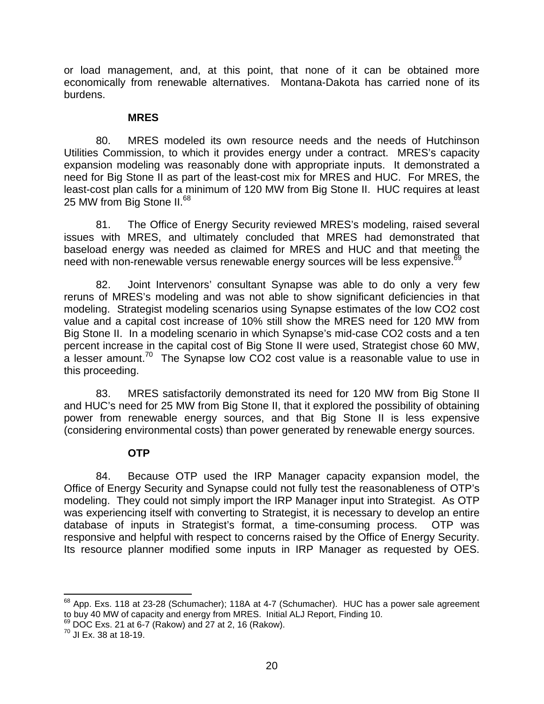<span id="page-20-0"></span>or load management, and, at this point, that none of it can be obtained more economically from renewable alternatives. Montana-Dakota has carried none of its burdens.

#### **MRES**

80. MRES modeled its own resource needs and the needs of Hutchinson Utilities Commission, to which it provides energy under a contract. MRES's capacity expansion modeling was reasonably done with appropriate inputs. It demonstrated a need for Big Stone II as part of the least-cost mix for MRES and HUC. For MRES, the least-cost plan calls for a minimum of 120 MW from Big Stone II. HUC requires at least 25 MW from Big Stone II.<sup>68</sup>

81. The Office of Energy Security reviewed MRES's modeling, raised several issues with MRES, and ultimately concluded that MRES had demonstrated that baseload energy was needed as claimed for MRES and HUC and that meeting the need with non-renewable versus renewable energy sources will be less expensive.<sup>69</sup>

82. Joint Intervenors' consultant Synapse was able to do only a very few reruns of MRES's modeling and was not able to show significant deficiencies in that modeling. Strategist modeling scenarios using Synapse estimates of the low CO2 cost value and a capital cost increase of 10% still show the MRES need for 120 MW from Big Stone II. In a modeling scenario in which Synapse's mid-case CO2 costs and a ten percent increase in the capital cost of Big Stone II were used, Strategist chose 60 MW, a lesser amount.<sup>70</sup> The Synapse low CO2 cost value is a reasonable value to use in this proceeding.

83. MRES satisfactorily demonstrated its need for 120 MW from Big Stone II and HUC's need for 25 MW from Big Stone II, that it explored the possibility of obtaining power from renewable energy sources, and that Big Stone II is less expensive (considering environmental costs) than power generated by renewable energy sources.

#### **OTP**

84. Because OTP used the IRP Manager capacity expansion model, the Office of Energy Security and Synapse could not fully test the reasonableness of OTP's modeling. They could not simply import the IRP Manager input into Strategist. As OTP was experiencing itself with converting to Strategist, it is necessary to develop an entire database of inputs in Strategist's format, a time-consuming process. OTP was responsive and helpful with respect to concerns raised by the Office of Energy Security. Its resource planner modified some inputs in IRP Manager as requested by OES.

<span id="page-20-1"></span><sup>&</sup>lt;sup>68</sup> App. Exs. 118 at 23-28 (Schumacher); 118A at 4-7 (Schumacher). HUC has a power sale agreement to buy 40 MW of capacity and energy from MRES. Initial ALJ Report, Finding 10.

<span id="page-20-2"></span><sup>69</sup> DOC Exs. 21 at 6-7 (Rakow) and 27 at 2, 16 (Rakow).<br><sup>70</sup> JI Ex. 38 at 18-19.

<span id="page-20-3"></span>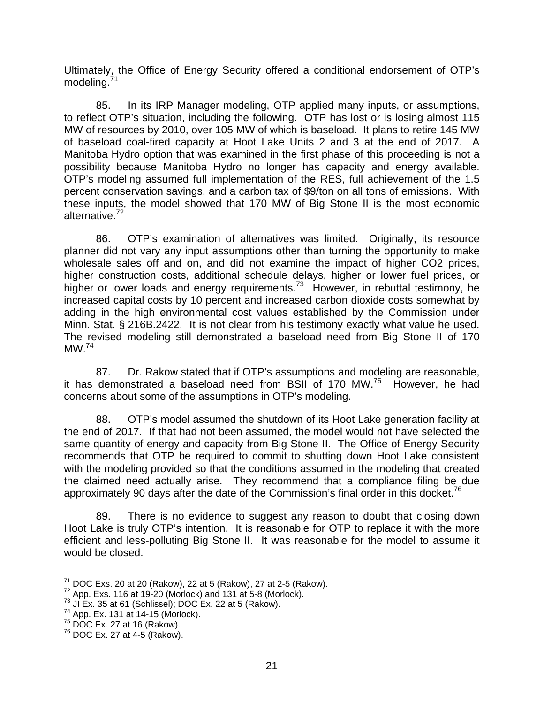Ultimately, the Office of Energy Security offered a conditional endorsement of OTP's modeling.<sup>[71](#page-21-0)</sup>

85. In its IRP Manager modeling, OTP applied many inputs, or assumptions, to reflect OTP's situation, including the following. OTP has lost or is losing almost 115 MW of resources by 2010, over 105 MW of which is baseload. It plans to retire 145 MW of baseload coal-fired capacity at Hoot Lake Units 2 and 3 at the end of 2017. A Manitoba Hydro option that was examined in the first phase of this proceeding is not a possibility because Manitoba Hydro no longer has capacity and energy available. OTP's modeling assumed full implementation of the RES, full achievement of the 1.5 percent conservation savings, and a carbon tax of \$9/ton on all tons of emissions. With these inputs, the model showed that 170 MW of Big Stone II is the most economic alternative.[72](#page-21-1)

86. OTP's examination of alternatives was limited. Originally, its resource planner did not vary any input assumptions other than turning the opportunity to make wholesale sales off and on, and did not examine the impact of higher CO2 prices, higher construction costs, additional schedule delays, higher or lower fuel prices, or higher or lower loads and energy requirements.<sup>73</sup> However, in rebuttal testimony, he increased capital costs by 10 percent and increased carbon dioxide costs somewhat by adding in the high environmental cost values established by the Commission under Minn. Stat. § 216B.2422. It is not clear from his testimony exactly what value he used. The revised modeling still demonstrated a baseload need from Big Stone II of 170  $MW<sup>74</sup>$  $MW<sup>74</sup>$  $MW<sup>74</sup>$ 

87. Dr. Rakow stated that if OTP's assumptions and modeling are reasonable, it has demonstrated a baseload need from BSII of 170 MW.<sup>75</sup> However, he had concerns about some of the assumptions in OTP's modeling.

88. OTP's model assumed the shutdown of its Hoot Lake generation facility at the end of 2017. If that had not been assumed, the model would not have selected the same quantity of energy and capacity from Big Stone II. The Office of Energy Security recommends that OTP be required to commit to shutting down Hoot Lake consistent with the modeling provided so that the conditions assumed in the modeling that created the claimed need actually arise. They recommend that a compliance filing be due approximately 90 days after the date of the Commission's final order in this docket.<sup>76</sup>

89. There is no evidence to suggest any reason to doubt that closing down Hoot Lake is truly OTP's intention. It is reasonable for OTP to replace it with the more efficient and less-polluting Big Stone II. It was reasonable for the model to assume it would be closed.

<span id="page-21-0"></span><sup>&</sup>lt;sup>71</sup> DOC Exs. 20 at 20 (Rakow), 22 at 5 (Rakow), 27 at 2-5 (Rakow). <sup>72</sup> App. Exs. 116 at 19-20 (Morlock) and 131 at 5-8 (Morlock). <sup>73</sup> JI Ex. 35 at 61 (Schlissel); DOC Ex. 22 at 5 (Rakow). <sup>74</sup> App. Ex. 131 at 14-15 (Mo

<span id="page-21-1"></span>

<span id="page-21-2"></span>

<span id="page-21-3"></span>

<span id="page-21-4"></span> $75$  DOC Ex. 27 at 16 (Rakow).<br> $76$  DOC Ex. 27 at 4-5 (Rakow).

<span id="page-21-5"></span>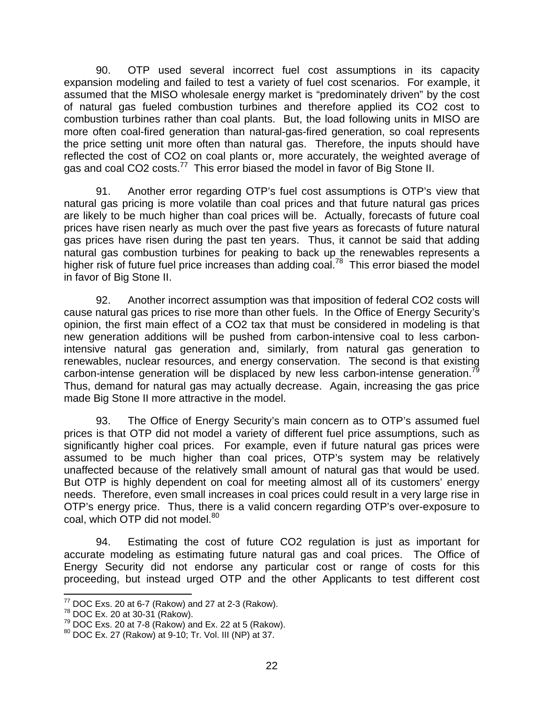90. OTP used several incorrect fuel cost assumptions in its capacity expansion modeling and failed to test a variety of fuel cost scenarios. For example, it assumed that the MISO wholesale energy market is "predominately driven" by the cost of natural gas fueled combustion turbines and therefore applied its CO2 cost to combustion turbines rather than coal plants. But, the load following units in MISO are more often coal-fired generation than natural-gas-fired generation, so coal represents the price setting unit more often than natural gas. Therefore, the inputs should have reflected the cost of CO2 on coal plants or, more accurately, the weighted average of gas and coal CO2 costs.<sup>77</sup> This error biased the model in favor of Big Stone II.

91. Another error regarding OTP's fuel cost assumptions is OTP's view that natural gas pricing is more volatile than coal prices and that future natural gas prices are likely to be much higher than coal prices will be. Actually, forecasts of future coal prices have risen nearly as much over the past five years as forecasts of future natural gas prices have risen during the past ten years. Thus, it cannot be said that adding natural gas combustion turbines for peaking to back up the renewables represents a higher risk of future fuel price increases than adding coal.<sup>78</sup> This error biased the model in favor of Big Stone II.

92. Another incorrect assumption was that imposition of federal CO2 costs will cause natural gas prices to rise more than other fuels. In the Office of Energy Security's opinion, the first main effect of a CO2 tax that must be considered in modeling is that new generation additions will be pushed from carbon-intensive coal to less carbonintensive natural gas generation and, similarly, from natural gas generation to renewables, nuclear resources, and energy conservation. The second is that existing carbon-intense generation will be displaced by new less carbon-intense generation.<sup>79</sup> Thus, demand for natural gas may actually decrease. Again, increasing the gas price made Big Stone II more attractive in the model.

93. The Office of Energy Security's main concern as to OTP's assumed fuel prices is that OTP did not model a variety of different fuel price assumptions, such as significantly higher coal prices. For example, even if future natural gas prices were assumed to be much higher than coal prices, OTP's system may be relatively unaffected because of the relatively small amount of natural gas that would be used. But OTP is highly dependent on coal for meeting almost all of its customers' energy needs. Therefore, even small increases in coal prices could result in a very large rise in OTP's energy price. Thus, there is a valid concern regarding OTP's over-exposure to coal, which OTP did not model.<sup>[80](#page-22-3)</sup>

94. Estimating the cost of future CO2 regulation is just as important for accurate modeling as estimating future natural gas and coal prices. The Office of Energy Security did not endorse any particular cost or range of costs for this proceeding, but instead urged OTP and the other Applicants to test different cost

<span id="page-22-0"></span>

<span id="page-22-2"></span><span id="page-22-1"></span>

<sup>&</sup>lt;sup>77</sup> DOC Exs. 20 at 6-7 (Rakow) and 27 at 2-3 (Rakow).<br><sup>78</sup> DOC Ex. 20 at 30-31 (Rakow).<br><sup>79</sup> DOC Exs. 20 at 7-8 (Rakow) and Ex. 22 at 5 (Rakow).<br><sup>80</sup> DOC Ex. 27 (Rakow) at 9-10; Tr. Vol. III (NP) at 37.

<span id="page-22-3"></span>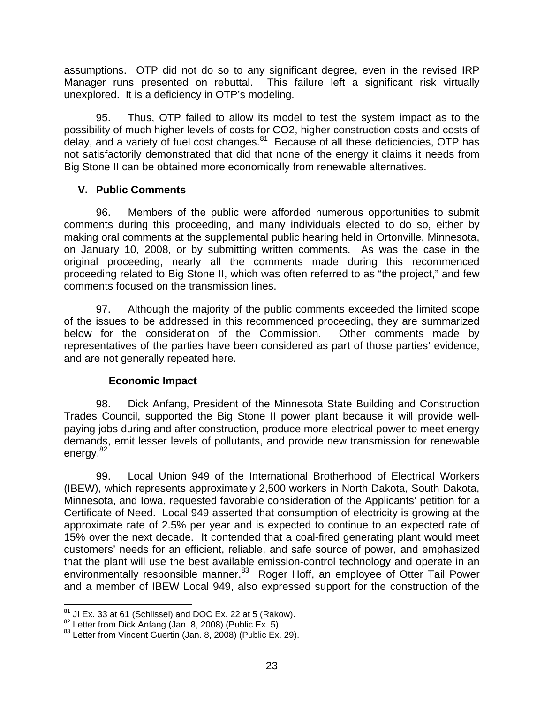<span id="page-23-0"></span>assumptions. OTP did not do so to any significant degree, even in the revised IRP Manager runs presented on rebuttal. This failure left a significant risk virtually unexplored. It is a deficiency in OTP's modeling.

95. Thus, OTP failed to allow its model to test the system impact as to the possibility of much higher levels of costs for CO2, higher construction costs and costs of delay, and a variety of fuel cost changes.<sup>81</sup> Because of all these deficiencies, OTP has not satisfactorily demonstrated that did that none of the energy it claims it needs from Big Stone II can be obtained more economically from renewable alternatives.

### **V. Public Comments**

96. Members of the public were afforded numerous opportunities to submit comments during this proceeding, and many individuals elected to do so, either by making oral comments at the supplemental public hearing held in Ortonville, Minnesota, on January 10, 2008, or by submitting written comments. As was the case in the original proceeding, nearly all the comments made during this recommenced proceeding related to Big Stone II, which was often referred to as "the project," and few comments focused on the transmission lines.

97. Although the majority of the public comments exceeded the limited scope of the issues to be addressed in this recommenced proceeding, they are summarized below for the consideration of the Commission. Other comments made by representatives of the parties have been considered as part of those parties' evidence, and are not generally repeated here.

# **Economic Impact**

98. Dick Anfang, President of the Minnesota State Building and Construction Trades Council, supported the Big Stone II power plant because it will provide wellpaying jobs during and after construction, produce more electrical power to meet energy demands, emit lesser levels of pollutants, and provide new transmission for renewable energy.<sup>[82](#page-23-2)</sup>

99. Local Union 949 of the International Brotherhood of Electrical Workers (IBEW), which represents approximately 2,500 workers in North Dakota, South Dakota, Minnesota, and Iowa, requested favorable consideration of the Applicants' petition for a Certificate of Need. Local 949 asserted that consumption of electricity is growing at the approximate rate of 2.5% per year and is expected to continue to an expected rate of 15% over the next decade. It contended that a coal-fired generating plant would meet customers' needs for an efficient, reliable, and safe source of power, and emphasized that the plant will use the best available emission-control technology and operate in an environmentally responsible manner.<sup>83</sup> Roger Hoff, an employee of Otter Tail Power and a member of IBEW Local 949, also expressed support for the construction of the

<span id="page-23-1"></span>

<span id="page-23-3"></span><span id="page-23-2"></span>

<sup>&</sup>lt;sup>81</sup> JI Ex. 33 at 61 (Schlissel) and DOC Ex. 22 at 5 (Rakow).<br><sup>82</sup> Letter from Dick Anfang (Jan. 8, 2008) (Public Ex. 5).<br><sup>83</sup> Letter from Vincent Guertin (Jan. 8, 2008) (Public Ex. 29).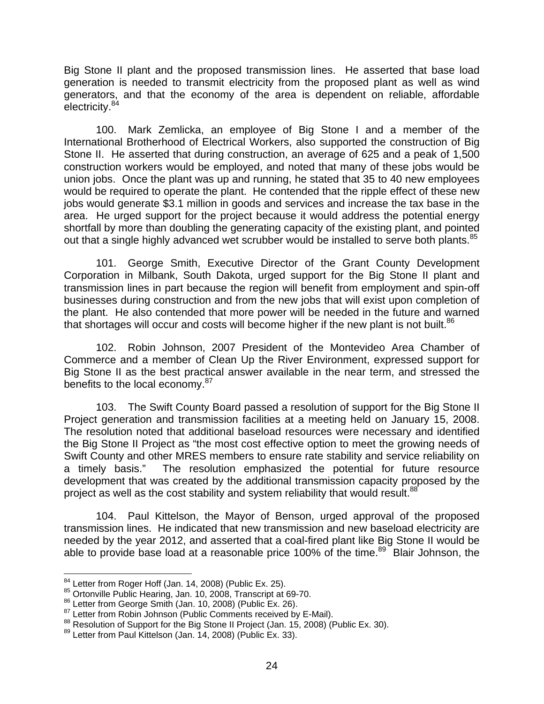Big Stone II plant and the proposed transmission lines. He asserted that base load generation is needed to transmit electricity from the proposed plant as well as wind generators, and that the economy of the area is dependent on reliable, affordable electricity.<sup>84</sup>

100. Mark Zemlicka, an employee of Big Stone I and a member of the International Brotherhood of Electrical Workers, also supported the construction of Big Stone II. He asserted that during construction, an average of 625 and a peak of 1,500 construction workers would be employed, and noted that many of these jobs would be union jobs. Once the plant was up and running, he stated that 35 to 40 new employees would be required to operate the plant. He contended that the ripple effect of these new jobs would generate \$3.1 million in goods and services and increase the tax base in the area. He urged support for the project because it would address the potential energy shortfall by more than doubling the generating capacity of the existing plant, and pointed out that a single highly advanced wet scrubber would be installed to serve both plants.<sup>85</sup>

101. George Smith, Executive Director of the Grant County Development Corporation in Milbank, South Dakota, urged support for the Big Stone II plant and transmission lines in part because the region will benefit from employment and spin-off businesses during construction and from the new jobs that will exist upon completion of the plant. He also contended that more power will be needed in the future and warned that shortages will occur and costs will become higher if the new plant is not built.<sup>86</sup>

102. Robin Johnson, 2007 President of the Montevideo Area Chamber of Commerce and a member of Clean Up the River Environment, expressed support for Big Stone II as the best practical answer available in the near term, and stressed the benefits to the local economy.<sup>[87](#page-24-3)</sup>

103. The Swift County Board passed a resolution of support for the Big Stone II Project generation and transmission facilities at a meeting held on January 15, 2008. The resolution noted that additional baseload resources were necessary and identified the Big Stone II Project as "the most cost effective option to meet the growing needs of Swift County and other MRES members to ensure rate stability and service reliability on a timely basis." The resolution emphasized the potential for future resource development that was created by the additional transmission capacity proposed by the project as well as the cost stability and system reliability that would result.<sup>[88](#page-24-4)</sup>

104. Paul Kittelson, the Mayor of Benson, urged approval of the proposed transmission lines. He indicated that new transmission and new baseload electricity are needed by the year 2012, and asserted that a coal-fired plant like Big Stone II would be able to provide base load at a reasonable price 100% of the time.<sup>89</sup> Blair Johnson, the

<span id="page-24-0"></span>

<span id="page-24-1"></span>

<span id="page-24-2"></span>

<span id="page-24-4"></span><span id="page-24-3"></span>

<sup>&</sup>lt;sup>84</sup> Letter from Roger Hoff (Jan. 14, 2008) (Public Ex. 25).<br>
<sup>85</sup> Ortonville Public Hearing, Jan. 10, 2008, Transcript at 69-70.<br>
<sup>86</sup> Letter from George Smith (Jan. 10, 2008) (Public Ex. 26).<br>
<sup>87</sup> Letter from Robin Joh

<span id="page-24-5"></span>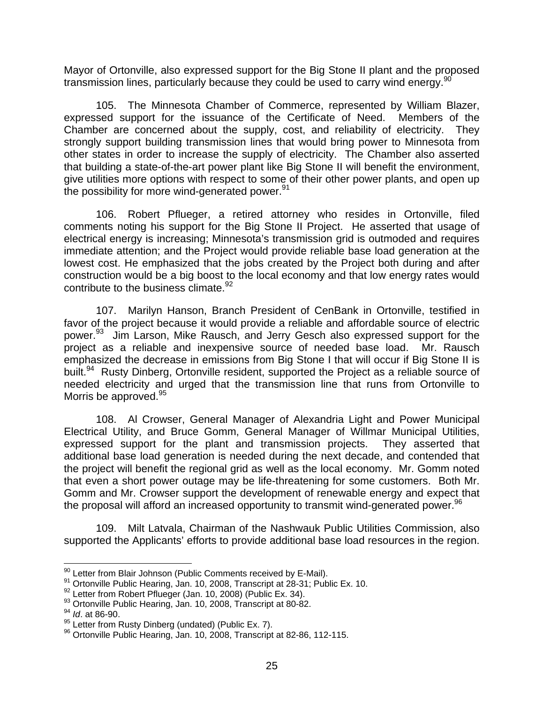Mayor of Ortonville, also expressed support for the Big Stone II plant and the proposed transmission lines, particularly because they could be used to carry wind energy.<sup>[90](#page-25-0)</sup>

105. The Minnesota Chamber of Commerce, represented by William Blazer, expressed support for the issuance of the Certificate of Need. Members of the Chamber are concerned about the supply, cost, and reliability of electricity. They strongly support building transmission lines that would bring power to Minnesota from other states in order to increase the supply of electricity. The Chamber also asserted that building a state-of-the-art power plant like Big Stone II will benefit the environment, give utilities more options with respect to some of their other power plants, and open up the possibility for more wind-generated power.<sup>91</sup>

106. Robert Pflueger, a retired attorney who resides in Ortonville, filed comments noting his support for the Big Stone II Project. He asserted that usage of electrical energy is increasing; Minnesota's transmission grid is outmoded and requires immediate attention; and the Project would provide reliable base load generation at the lowest cost. He emphasized that the jobs created by the Project both during and after construction would be a big boost to the local economy and that low energy rates would contribute to the business climate.<sup>[92](#page-25-2)</sup>

107. Marilyn Hanson, Branch President of CenBank in Ortonville, testified in favor of the project because it would provide a reliable and affordable source of electric power.<sup>93</sup> Jim Larson, Mike Rausch, and Jerry Gesch also expressed support for the project as a reliable and inexpensive source of needed base load. Mr. Rausch emphasized the decrease in emissions from Big Stone I that will occur if Big Stone II is built.<sup>94</sup> Rusty Dinberg, Ortonville resident, supported the Project as a reliable source of needed electricity and urged that the transmission line that runs from Ortonville to Morris be approved.<sup>[95](#page-25-5)</sup>

108. Al Crowser, General Manager of Alexandria Light and Power Municipal Electrical Utility, and Bruce Gomm, General Manager of Willmar Municipal Utilities, expressed support for the plant and transmission projects. They asserted that additional base load generation is needed during the next decade, and contended that the project will benefit the regional grid as well as the local economy. Mr. Gomm noted that even a short power outage may be life-threatening for some customers. Both Mr. Gomm and Mr. Crowser support the development of renewable energy and expect that the proposal will afford an increased opportunity to transmit wind-generated power.<sup>[96](#page-25-6)</sup>

109. Milt Latvala, Chairman of the Nashwauk Public Utilities Commission, also supported the Applicants' efforts to provide additional base load resources in the region.

<span id="page-25-1"></span><span id="page-25-0"></span>

<sup>&</sup>lt;sup>90</sup> Letter from Blair Johnson (Public Comments received by E-Mail).<br><sup>91</sup> Ortonville Public Hearing, Jan. 10, 2008, Transcript at 28-31; Public Ex. 10.<br><sup>92</sup> Letter from Robert Pflueger (Jan. 10, 2008) (Public Ex. 34).

<span id="page-25-2"></span>

<span id="page-25-3"></span><sup>&</sup>lt;sup>93</sup> Ortonville Public Hearing, Jan. 10, 2008, Transcript at 80-82.<br><sup>94</sup> *Id.* at 86-90.<br><sup>95</sup> Letter from Rusty Dinberg (undated) (Public Ex. 7).

<span id="page-25-4"></span>

<span id="page-25-5"></span>

<span id="page-25-6"></span><sup>96</sup> Ortonville Public Hearing, Jan. 10, 2008, Transcript at 82-86, 112-115.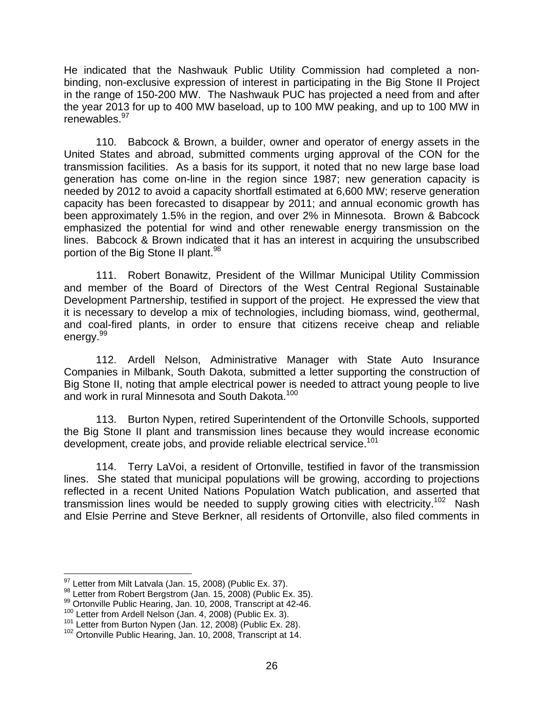He indicated that the Nashwauk Public Utility Commission had completed a nonbinding, non-exclusive expression of interest in participating in the Big Stone II Project in the range of 150-200 MW. The Nashwauk PUC has projected a need from and after the year 2013 for up to 400 MW baseload, up to 100 MW peaking, and up to 100 MW in renewables.<sup>[97](#page-26-0)</sup>

110. Babcock & Brown, a builder, owner and operator of energy assets in the United States and abroad, submitted comments urging approval of the CON for the transmission facilities. As a basis for its support, it noted that no new large base load generation has come on-line in the region since 1987; new generation capacity is needed by 2012 to avoid a capacity shortfall estimated at 6,600 MW; reserve generation capacity has been forecasted to disappear by 2011; and annual economic growth has been approximately 1.5% in the region, and over 2% in Minnesota. Brown & Babcock emphasized the potential for wind and other renewable energy transmission on the lines. Babcock & Brown indicated that it has an interest in acquiring the unsubscribed portion of the Big Stone II plant.<sup>98</sup>

111. Robert Bonawitz, President of the Willmar Municipal Utility Commission and member of the Board of Directors of the West Central Regional Sustainable Development Partnership, testified in support of the project. He expressed the view that it is necessary to develop a mix of technologies, including biomass, wind, geothermal, and coal-fired plants, in order to ensure that citizens receive cheap and reliable energy.<sup>[99](#page-26-2)</sup>

112. Ardell Nelson, Administrative Manager with State Auto Insurance Companies in Milbank, South Dakota, submitted a letter supporting the construction of Big Stone II, noting that ample electrical power is needed to attract young people to live and work in rural Minnesota and South Dakota.<sup>[100](#page-26-3)</sup>

113. Burton Nypen, retired Superintendent of the Ortonville Schools, supported the Big Stone II plant and transmission lines because they would increase economic development, create jobs, and provide reliable electrical service.<sup>101</sup>

114. Terry LaVoi, a resident of Ortonville, testified in favor of the transmission lines. She stated that municipal populations will be growing, according to projections reflected in a recent United Nations Population Watch publication, and asserted that transmission lines would be needed to supply growing cities with electricity.<sup>102</sup> Nash and Elsie Perrine and Steve Berkner, all residents of Ortonville, also filed comments in

<span id="page-26-0"></span>

<span id="page-26-2"></span><span id="page-26-1"></span>

<sup>&</sup>lt;sup>97</sup> Letter from Milt Latvala (Jan. 15, 2008) (Public Ex. 37).<br><sup>98</sup> Letter from Robert Bergstrom (Jan. 15, 2008) (Public Ex. 35).<br><sup>99</sup> Ortonville Public Hearing, Jan. 10, 2008, Transcript at 42-46.<br><sup>100</sup> Letter from Ardel

<span id="page-26-3"></span>

<span id="page-26-4"></span>

<span id="page-26-5"></span>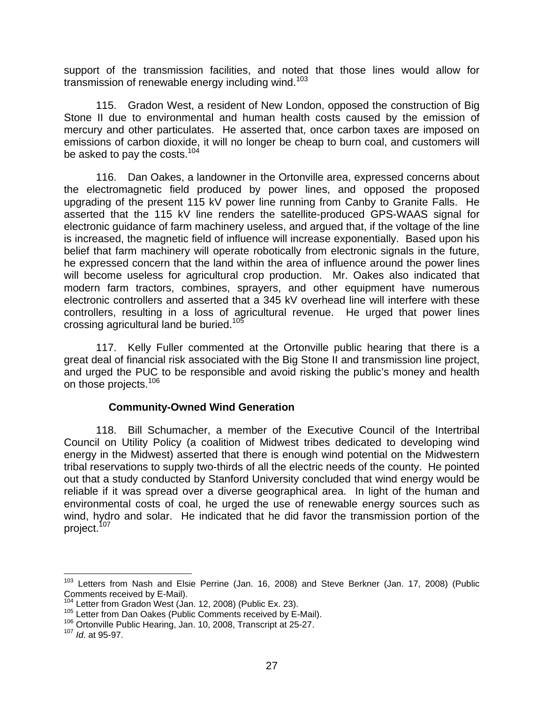<span id="page-27-0"></span>support of the transmission facilities, and noted that those lines would allow for transmission of renewable energy including wind.<sup>[103](#page-27-1)</sup>

115. Gradon West, a resident of New London, opposed the construction of Big Stone II due to environmental and human health costs caused by the emission of mercury and other particulates. He asserted that, once carbon taxes are imposed on emissions of carbon dioxide, it will no longer be cheap to burn coal, and customers will be asked to pay the costs.<sup>104</sup>

116. Dan Oakes, a landowner in the Ortonville area, expressed concerns about the electromagnetic field produced by power lines, and opposed the proposed upgrading of the present 115 kV power line running from Canby to Granite Falls. He asserted that the 115 kV line renders the satellite-produced GPS-WAAS signal for electronic guidance of farm machinery useless, and argued that, if the voltage of the line is increased, the magnetic field of influence will increase exponentially. Based upon his belief that farm machinery will operate robotically from electronic signals in the future, he expressed concern that the land within the area of influence around the power lines will become useless for agricultural crop production. Mr. Oakes also indicated that modern farm tractors, combines, sprayers, and other equipment have numerous electronic controllers and asserted that a 345 kV overhead line will interfere with these controllers, resulting in a loss of agricultural revenue. He urged that power lines crossing agricultural land be buried.<sup>105</sup>

117. Kelly Fuller commented at the Ortonville public hearing that there is a great deal of financial risk associated with the Big Stone II and transmission line project, and urged the PUC to be responsible and avoid risking the public's money and health on those projects.<sup>106</sup>

#### **Community-Owned Wind Generation**

118. Bill Schumacher, a member of the Executive Council of the Intertribal Council on Utility Policy (a coalition of Midwest tribes dedicated to developing wind energy in the Midwest) asserted that there is enough wind potential on the Midwestern tribal reservations to supply two-thirds of all the electric needs of the county. He pointed out that a study conducted by Stanford University concluded that wind energy would be reliable if it was spread over a diverse geographical area. In light of the human and environmental costs of coal, he urged the use of renewable energy sources such as wind, hydro and solar. He indicated that he did favor the transmission portion of the project.<sup>107</sup>

<span id="page-27-1"></span><sup>&</sup>lt;sup>103</sup> Letters from Nash and Elsie Perrine (Jan. 16, 2008) and Steve Berkner (Jan. 17, 2008) (Public Comments received by E-Mail).<br>
<sup>104</sup> Letter from Gradon West (Jan. 12, 2008) (Public Ex. 23).<br>
<sup>105</sup> Letter from Dan Oakes (Public Comments received by E-Mail).<br>
<sup>106</sup> Ortonville Public Hearing, Jan. 10, 2008, Transcript

<span id="page-27-2"></span>

<span id="page-27-3"></span>

<span id="page-27-4"></span>

<span id="page-27-5"></span>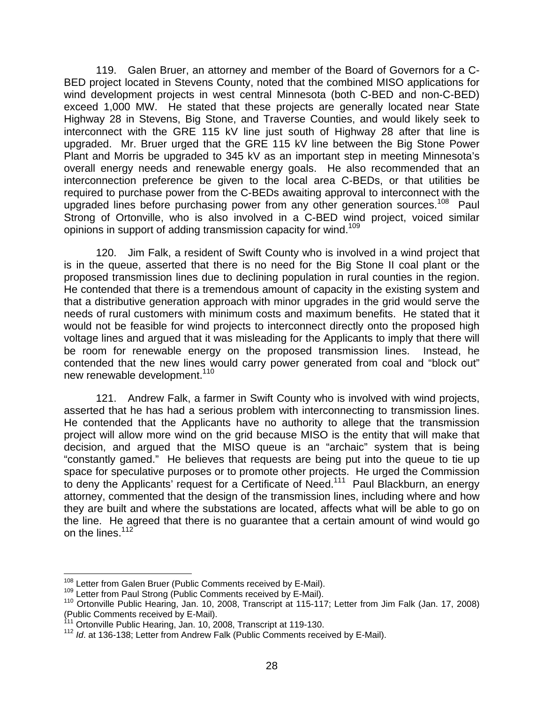119. Galen Bruer, an attorney and member of the Board of Governors for a C-BED project located in Stevens County, noted that the combined MISO applications for wind development projects in west central Minnesota (both C-BED and non-C-BED) exceed 1,000 MW. He stated that these projects are generally located near State Highway 28 in Stevens, Big Stone, and Traverse Counties, and would likely seek to interconnect with the GRE 115 kV line just south of Highway 28 after that line is upgraded. Mr. Bruer urged that the GRE 115 kV line between the Big Stone Power Plant and Morris be upgraded to 345 kV as an important step in meeting Minnesota's overall energy needs and renewable energy goals. He also recommended that an interconnection preference be given to the local area C-BEDs, or that utilities be required to purchase power from the C-BEDs awaiting approval to interconnect with the upgraded lines before purchasing power from any other generation sources.<sup>108</sup> Paul Strong of Ortonville, who is also involved in a C-BED wind project, voiced similar opinions in support of adding transmission capacity for wind.<sup>[109](#page-28-1)</sup>

120. Jim Falk, a resident of Swift County who is involved in a wind project that is in the queue, asserted that there is no need for the Big Stone II coal plant or the proposed transmission lines due to declining population in rural counties in the region. He contended that there is a tremendous amount of capacity in the existing system and that a distributive generation approach with minor upgrades in the grid would serve the needs of rural customers with minimum costs and maximum benefits. He stated that it would not be feasible for wind projects to interconnect directly onto the proposed high voltage lines and argued that it was misleading for the Applicants to imply that there will be room for renewable energy on the proposed transmission lines. Instead, he contended that the new lines would carry power generated from coal and "block out" new renewable development.<sup>110</sup>

121. Andrew Falk, a farmer in Swift County who is involved with wind projects, asserted that he has had a serious problem with interconnecting to transmission lines. He contended that the Applicants have no authority to allege that the transmission project will allow more wind on the grid because MISO is the entity that will make that decision, and argued that the MISO queue is an "archaic" system that is being "constantly gamed." He believes that requests are being put into the queue to tie up space for speculative purposes or to promote other projects. He urged the Commission to deny the Applicants' request for a Certificate of Need.<sup>111</sup> Paul Blackburn, an energy attorney, commented that the design of the transmission lines, including where and how they are built and where the substations are located, affects what will be able to go on the line. He agreed that there is no guarantee that a certain amount of wind would go on the lines.<sup>[112](#page-28-4)</sup>

<span id="page-28-0"></span>

<span id="page-28-2"></span><span id="page-28-1"></span>

<sup>&</sup>lt;sup>108</sup> Letter from Galen Bruer (Public Comments received by E-Mail).<br><sup>109</sup> Letter from Paul Strong (Public Comments received by E-Mail).<br><sup>110</sup> Ortonville Public Hearing, Jan. 10, 2008, Transcript at 115-117; Letter from Jim (Public Comments received by E-Mail).<br><sup>111</sup> Ortonville Public Hearing, Jan. 10, 2008, Transcript at 119-130.

<span id="page-28-3"></span>

<span id="page-28-4"></span><sup>112</sup> *Id*. at 136-138; Letter from Andrew Falk (Public Comments received by E-Mail).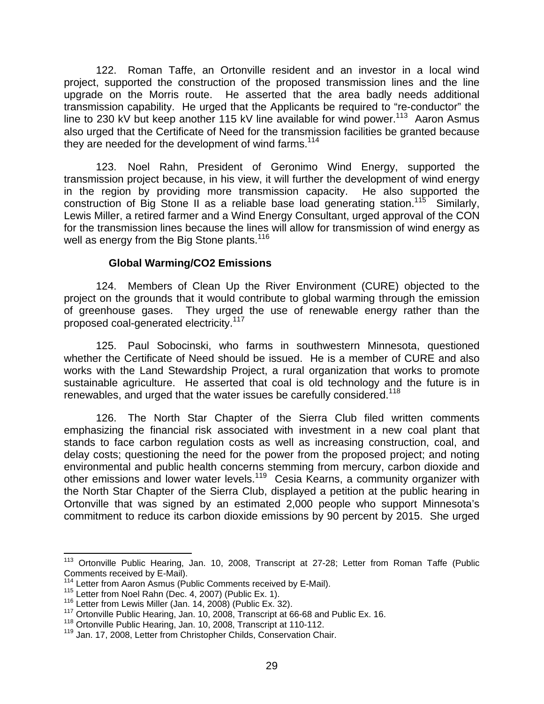<span id="page-29-0"></span>122. Roman Taffe, an Ortonville resident and an investor in a local wind project, supported the construction of the proposed transmission lines and the line upgrade on the Morris route. He asserted that the area badly needs additional transmission capability. He urged that the Applicants be required to "re-conductor" the line to 230 kV but keep another 115 kV line available for wind power.<sup>113</sup> Aaron Asmus also urged that the Certificate of Need for the transmission facilities be granted because they are needed for the development of wind farms.<sup>[114](#page-29-2)</sup>

123. Noel Rahn, President of Geronimo Wind Energy, supported the transmission project because, in his view, it will further the development of wind energy in the region by providing more transmission capacity. He also supported the construction of Big Stone II as a reliable base load generating station.<sup>115</sup> Similarly, Lewis Miller, a retired farmer and a Wind Energy Consultant, urged approval of the CON for the transmission lines because the lines will allow for transmission of wind energy as well as energy from the Big Stone plants.<sup>[116](#page-29-4)</sup>

#### **Global Warming/CO2 Emissions**

124. Members of Clean Up the River Environment (CURE) objected to the project on the grounds that it would contribute to global warming through the emission of greenhouse gases.They urged the use of renewable energy rather than the proposed coal-generated electricity.<sup>[117](#page-29-5)</sup>

125. Paul Sobocinski, who farms in southwestern Minnesota, questioned whether the Certificate of Need should be issued. He is a member of CURE and also works with the Land Stewardship Project, a rural organization that works to promote sustainable agriculture. He asserted that coal is old technology and the future is in renewables, and urged that the water issues be carefully considered.<sup>[118](#page-29-6)</sup>

126. The North Star Chapter of the Sierra Club filed written comments emphasizing the financial risk associated with investment in a new coal plant that stands to face carbon regulation costs as well as increasing construction, coal, and delay costs; questioning the need for the power from the proposed project; and noting environmental and public health concerns stemming from mercury, carbon dioxide and other emissions and lower water levels.<sup>119</sup> Cesia Kearns, a community organizer with the North Star Chapter of the Sierra Club, displayed a petition at the public hearing in Ortonville that was signed by an estimated 2,000 people who support Minnesota's commitment to reduce its carbon dioxide emissions by 90 percent by 2015. She urged

<span id="page-29-1"></span><sup>&</sup>lt;sup>113</sup> Ortonville Public Hearing, Jan. 10, 2008, Transcript at 27-28; Letter from Roman Taffe (Public Comments received by E-Mail).

<span id="page-29-2"></span>

<span id="page-29-3"></span>

<span id="page-29-5"></span><span id="page-29-4"></span>

 $^{114}$  Letter from Aaron Asmus (Public Comments received by E-Mail).<br><sup>115</sup> Letter from Noel Rahn (Dec. 4, 2007) (Public Ex. 1).<br><sup>116</sup> Letter from Lewis Miller (Jan. 14, 2008) (Public Ex. 32).<br><sup>117</sup> Ortonville Public Hear

<span id="page-29-6"></span><sup>118</sup> Ortonville Public Hearing, Jan. 10, 2008, Transcript at 110-112.

<span id="page-29-7"></span><sup>&</sup>lt;sup>119</sup> Jan. 17, 2008, Letter from Christopher Childs, Conservation Chair.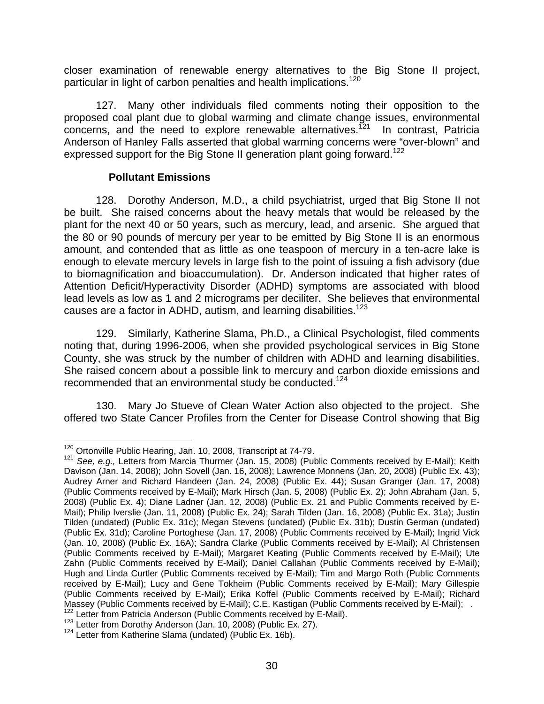<span id="page-30-0"></span>closer examination of renewable energy alternatives to the Big Stone II project, particular in light of carbon penalties and health implications.<sup>120</sup>

127. Many other individuals filed comments noting their opposition to the proposed coal plant due to global warming and climate change issues, environmental  $\overline{\text{concerns}}$ , and the need to explore renewable alternatives.<sup>121</sup> In contrast, Patricia Anderson of Hanley Falls asserted that global warming concerns were "over-blown" and expressed support for the Big Stone II generation plant going forward.<sup>[122](#page-30-3)</sup>

#### **Pollutant Emissions**

128. Dorothy Anderson, M.D., a child psychiatrist, urged that Big Stone II not be built. She raised concerns about the heavy metals that would be released by the plant for the next 40 or 50 years, such as mercury, lead, and arsenic. She argued that the 80 or 90 pounds of mercury per year to be emitted by Big Stone II is an enormous amount, and contended that as little as one teaspoon of mercury in a ten-acre lake is enough to elevate mercury levels in large fish to the point of issuing a fish advisory (due to biomagnification and bioaccumulation). Dr. Anderson indicated that higher rates of Attention Deficit/Hyperactivity Disorder (ADHD) symptoms are associated with blood lead levels as low as 1 and 2 micrograms per deciliter. She believes that environmental causes are a factor in ADHD, autism, and learning disabilities.<sup>123</sup>

129. Similarly, Katherine Slama, Ph.D., a Clinical Psychologist, filed comments noting that, during 1996-2006, when she provided psychological services in Big Stone County, she was struck by the number of children with ADHD and learning disabilities. She raised concern about a possible link to mercury and carbon dioxide emissions and recommended that an environmental study be conducted.<sup>124</sup>

130. Mary Jo Stueve of Clean Water Action also objected to the project. She offered two State Cancer Profiles from the Center for Disease Control showing that Big

<span id="page-30-2"></span><span id="page-30-1"></span>

<sup>&</sup>lt;sup>120</sup> Ortonville Public Hearing, Jan. 10, 2008, Transcript at 74-79.<br><sup>121</sup> See, e.g., Letters from Marcia Thurmer (Jan. 15, 2008) (Public Comments received by E-Mail); Keith Davison (Jan. 14, 2008); John Sovell (Jan. 16, 2008); Lawrence Monnens (Jan. 20, 2008) (Public Ex. 43); Audrey Arner and Richard Handeen (Jan. 24, 2008) (Public Ex. 44); Susan Granger (Jan. 17, 2008) (Public Comments received by E-Mail); Mark Hirsch (Jan. 5, 2008) (Public Ex. 2); John Abraham (Jan. 5, 2008) (Public Ex. 4); Diane Ladner (Jan. 12, 2008) (Public Ex. 21 and Public Comments received by E-Mail); Philip Iverslie (Jan. 11, 2008) (Public Ex. 24); Sarah Tilden (Jan. 16, 2008) (Public Ex. 31a); Justin Tilden (undated) (Public Ex. 31c); Megan Stevens (undated) (Public Ex. 31b); Dustin German (undated) (Public Ex. 31d); Caroline Portoghese (Jan. 17, 2008) (Public Comments received by E-Mail); Ingrid Vick (Jan. 10, 2008) (Public Ex. 16A); Sandra Clarke (Public Comments received by E-Mail); Al Christensen (Public Comments received by E-Mail); Margaret Keating (Public Comments received by E-Mail); Ute Zahn (Public Comments received by E-Mail); Daniel Callahan (Public Comments received by E-Mail); Hugh and Linda Curtler (Public Comments received by E-Mail); Tim and Margo Roth (Public Comments received by E-Mail); Lucy and Gene Tokheim (Public Comments received by E-Mail); Mary Gillespie (Public Comments received by E-Mail); Erika Koffel (Public Comments received by E-Mail); Richard Massey (Public Comments received by E-Mail); C.E. Kastigan (Public Comments received by E-Mail); .<br><sup>122</sup> Letter from Patricia Anderson (Public Comments received by E-Mail).<br><sup>123</sup> Letter from Dorothy Anderson (Jan. 10, 2008

<span id="page-30-3"></span>

<span id="page-30-4"></span>

<span id="page-30-5"></span>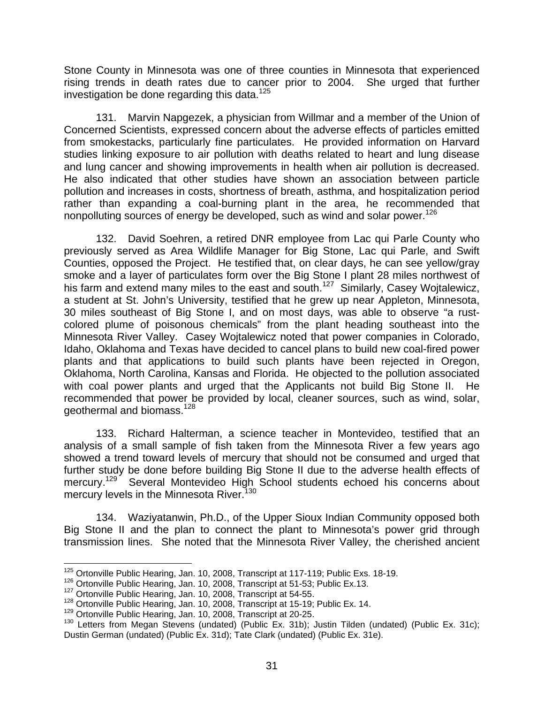Stone County in Minnesota was one of three counties in Minnesota that experienced rising trends in death rates due to cancer prior to 2004.She urged that further investigation be done regarding this data.[125](#page-31-0)

131. Marvin Napgezek, a physician from Willmar and a member of the Union of Concerned Scientists, expressed concern about the adverse effects of particles emitted from smokestacks, particularly fine particulates. He provided information on Harvard studies linking exposure to air pollution with deaths related to heart and lung disease and lung cancer and showing improvements in health when air pollution is decreased. He also indicated that other studies have shown an association between particle pollution and increases in costs, shortness of breath, asthma, and hospitalization period rather than expanding a coal-burning plant in the area, he recommended that nonpolluting sources of energy be developed, such as wind and solar power.<sup>[126](#page-31-1)</sup>

132. David Soehren, a retired DNR employee from Lac qui Parle County who previously served as Area Wildlife Manager for Big Stone, Lac qui Parle, and Swift Counties, opposed the Project. He testified that, on clear days, he can see yellow/gray smoke and a layer of particulates form over the Big Stone I plant 28 miles northwest of his farm and extend many miles to the east and south.<sup>127</sup> Similarly, Casey Wojtalewicz, a student at St. John's University, testified that he grew up near Appleton, Minnesota, 30 miles southeast of Big Stone I, and on most days, was able to observe "a rustcolored plume of poisonous chemicals" from the plant heading southeast into the Minnesota River Valley. Casey Wojtalewicz noted that power companies in Colorado, Idaho, Oklahoma and Texas have decided to cancel plans to build new coal-fired power plants and that applications to build such plants have been rejected in Oregon, Oklahoma, North Carolina, Kansas and Florida. He objected to the pollution associated with coal power plants and urged that the Applicants not build Big Stone II. He recommended that power be provided by local, cleaner sources, such as wind, solar, geothermal and biomass.[128](#page-31-3) 

133. Richard Halterman, a science teacher in Montevideo, testified that an analysis of a small sample of fish taken from the Minnesota River a few years ago showed a trend toward levels of mercury that should not be consumed and urged that further study be done before building Big Stone II due to the adverse health effects of mercury.<sup>129</sup> Several Montevideo High School students echoed his concerns about mercury levels in the Minnesota River.<sup>[130](#page-31-5)</sup>

134. Waziyatanwin, Ph.D., of the Upper Sioux Indian Community opposed both Big Stone II and the plan to connect the plant to Minnesota's power grid through transmission lines. She noted that the Minnesota River Valley, the cherished ancient

<span id="page-31-0"></span><sup>&</sup>lt;sup>125</sup> Ortonville Public Hearing, Jan. 10, 2008, Transcript at 117-119; Public Exs. 18-19.<br><sup>126</sup> Ortonville Public Hearing, Jan. 10, 2008, Transcript at 51-53; Public Ex.13.<br><sup>127</sup> Ortonville Public Hearing, Jan. 10, 2008,

<span id="page-31-1"></span>

<span id="page-31-2"></span>

<span id="page-31-3"></span><sup>&</sup>lt;sup>128</sup> Ortonville Public Hearing, Jan. 10, 2008, Transcript at 15-19; Public Ex. 14.<br><sup>129</sup> Ortonville Public Hearing, Jan. 10, 2008, Transcript at 20-25.

<span id="page-31-4"></span>

<span id="page-31-5"></span><sup>&</sup>lt;sup>130</sup> Letters from Megan Stevens (undated) (Public Ex. 31b); Justin Tilden (undated) (Public Ex. 31c); Dustin German (undated) (Public Ex. 31d); Tate Clark (undated) (Public Ex. 31e).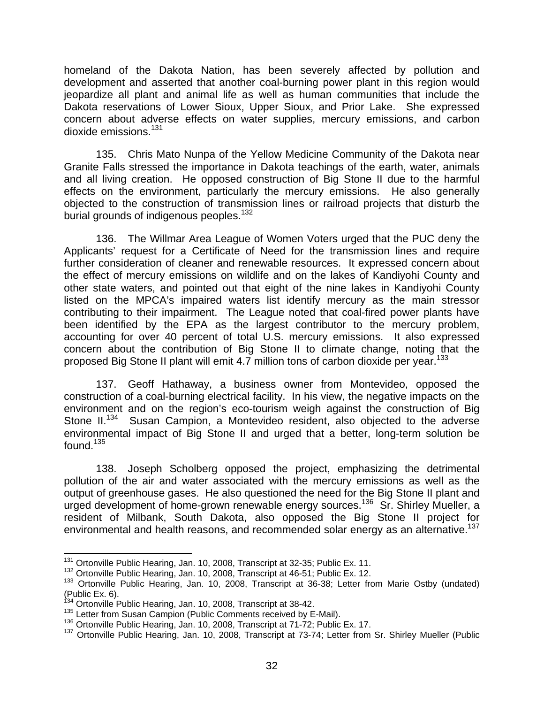homeland of the Dakota Nation, has been severely affected by pollution and development and asserted that another coal-burning power plant in this region would jeopardize all plant and animal life as well as human communities that include the Dakota reservations of Lower Sioux, Upper Sioux, and Prior Lake. She expressed concern about adverse effects on water supplies, mercury emissions, and carbon dioxide emissions.<sup>[131](#page-32-0)</sup>

135. Chris Mato Nunpa of the Yellow Medicine Community of the Dakota near Granite Falls stressed the importance in Dakota teachings of the earth, water, animals and all living creation. He opposed construction of Big Stone II due to the harmful effects on the environment, particularly the mercury emissions. He also generally objected to the construction of transmission lines or railroad projects that disturb the burial grounds of indigenous peoples.<sup>[132](#page-32-1)</sup>

136. The Willmar Area League of Women Voters urged that the PUC deny the Applicants' request for a Certificate of Need for the transmission lines and require further consideration of cleaner and renewable resources. It expressed concern about the effect of mercury emissions on wildlife and on the lakes of Kandiyohi County and other state waters, and pointed out that eight of the nine lakes in Kandiyohi County listed on the MPCA's impaired waters list identify mercury as the main stressor contributing to their impairment. The League noted that coal-fired power plants have been identified by the EPA as the largest contributor to the mercury problem, accounting for over 40 percent of total U.S. mercury emissions. It also expressed concern about the contribution of Big Stone II to climate change, noting that the proposed Big Stone II plant will emit 4.7 million tons of carbon dioxide per year.<sup>[133](#page-32-2)</sup>

137. Geoff Hathaway, a business owner from Montevideo, opposed the construction of a coal-burning electrical facility. In his view, the negative impacts on the environment and on the region's eco-tourism weigh against the construction of Big Stone II.<sup>134</sup> Susan Campion, a Montevideo resident, also objected to the adverse environmental impact of Big Stone II and urged that a better, long-term solution be found. $135$ 

138. Joseph Scholberg opposed the project, emphasizing the detrimental pollution of the air and water associated with the mercury emissions as well as the output of greenhouse gases. He also questioned the need for the Big Stone II plant and urged development of home-grown renewable energy sources.<sup>136</sup> Sr. Shirley Mueller, a resident of Milbank, South Dakota, also opposed the Big Stone II project for environmental and health reasons, and recommended solar energy as an alternative.<sup>137</sup>

<span id="page-32-0"></span><sup>&</sup>lt;sup>131</sup> Ortonville Public Hearing, Jan. 10, 2008, Transcript at 32-35; Public Ex. 11.

<span id="page-32-1"></span><sup>132</sup> Ortonville Public Hearing, Jan. 10, 2008, Transcript at 46-51; Public Ex. 12.

<span id="page-32-2"></span><sup>&</sup>lt;sup>133</sup> Ortonville Public Hearing, Jan. 10, 2008, Transcript at 36-38; Letter from Marie Ostby (undated) (Public Ex. 6).<br><sup>134</sup> Ortonville Public Hearing, Jan. 10, 2008, Transcript at 38-42.<br><sup>135</sup> Letter from Susan Campion (Public Comments received by E-Mail).<br><sup>136</sup> Ortonville Public Hearing, Jan. 10, 2008, Transcript at 71-72

<span id="page-32-3"></span>

<span id="page-32-4"></span>

<span id="page-32-5"></span>

<span id="page-32-6"></span><sup>137</sup> Ortonville Public Hearing, Jan. 10, 2008, Transcript at 73-74; Letter from Sr. Shirley Mueller (Public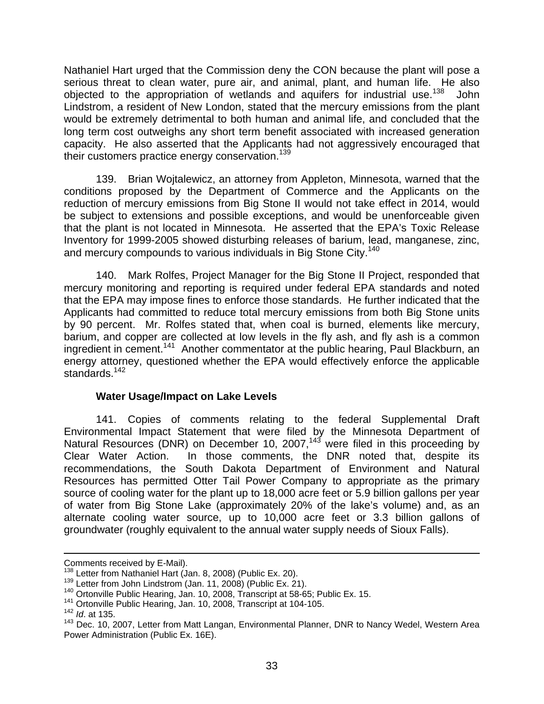<span id="page-33-0"></span>Nathaniel Hart urged that the Commission deny the CON because the plant will pose a serious threat to clean water, pure air, and animal, plant, and human life. He also objected to the appropriation of wetlands and aquifers for industrial use.<sup>138</sup> John Lindstrom, a resident of New London, stated that the mercury emissions from the plant would be extremely detrimental to both human and animal life, and concluded that the long term cost outweighs any short term benefit associated with increased generation capacity. He also asserted that the Applicants had not aggressively encouraged that their customers practice energy conservation[.139](#page-33-2)

139. Brian Wojtalewicz, an attorney from Appleton, Minnesota, warned that the conditions proposed by the Department of Commerce and the Applicants on the reduction of mercury emissions from Big Stone II would not take effect in 2014, would be subject to extensions and possible exceptions, and would be unenforceable given that the plant is not located in Minnesota. He asserted that the EPA's Toxic Release Inventory for 1999-2005 showed disturbing releases of barium, lead, manganese, zinc, and mercury compounds to various individuals in Big Stone City.<sup>140</sup>

140. Mark Rolfes, Project Manager for the Big Stone II Project, responded that mercury monitoring and reporting is required under federal EPA standards and noted that the EPA may impose fines to enforce those standards. He further indicated that the Applicants had committed to reduce total mercury emissions from both Big Stone units by 90 percent. Mr. Rolfes stated that, when coal is burned, elements like mercury, barium, and copper are collected at low levels in the fly ash, and fly ash is a common ingredient in cement.<sup>141</sup> Another commentator at the public hearing, Paul Blackburn, an energy attorney, questioned whether the EPA would effectively enforce the applicable standards.[142](#page-33-5)

#### **Water Usage/Impact on Lake Levels**

141. Copies of comments relating to the federal Supplemental Draft Environmental Impact Statement that were filed by the Minnesota Department of Natural Resources (DNR) on December 10, 2007,<sup>143</sup> were filed in this proceeding by Clear Water Action. In those comments, the DNR noted that, despite its recommendations, the South Dakota Department of Environment and Natural Resources has permitted Otter Tail Power Company to appropriate as the primary source of cooling water for the plant up to 18,000 acre feet or 5.9 billion gallons per year of water from Big Stone Lake (approximately 20% of the lake's volume) and, as an alternate cooling water source, up to 10,000 acre feet or 3.3 billion gallons of groundwater (roughly equivalent to the annual water supply needs of Sioux Falls).

<span id="page-33-1"></span>

<span id="page-33-2"></span>

Comments received by E-Mail).<br><sup>138</sup> Letter from Nathaniel Hart (Jan. 8, 2008) (Public Ex. 20).<br><sup>139</sup> Letter from John Lindstrom (Jan. 11, 2008) (Public Ex. 21).<br><sup>140</sup> Ortonville Public Hearing, Jan. 10, 2008, Transcript at

<span id="page-33-4"></span><span id="page-33-3"></span><sup>141</sup> Ortonville Public Hearing, Jan. 10, 2008, Transcript at 104-105.

<span id="page-33-5"></span><sup>142</sup> *Id*. at 135.

<span id="page-33-6"></span><sup>&</sup>lt;sup>143</sup> Dec. 10, 2007, Letter from Matt Langan, Environmental Planner, DNR to Nancy Wedel, Western Area Power Administration (Public Ex. 16E).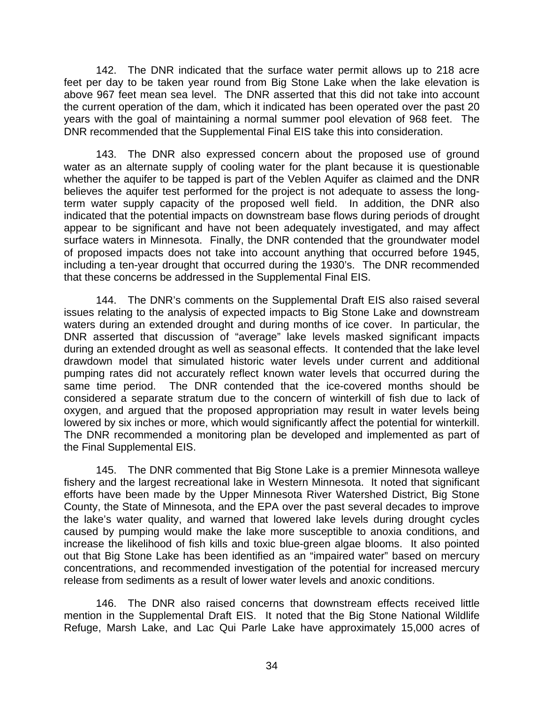142. The DNR indicated that the surface water permit allows up to 218 acre feet per day to be taken year round from Big Stone Lake when the lake elevation is above 967 feet mean sea level. The DNR asserted that this did not take into account the current operation of the dam, which it indicated has been operated over the past 20 years with the goal of maintaining a normal summer pool elevation of 968 feet. The DNR recommended that the Supplemental Final EIS take this into consideration.

143. The DNR also expressed concern about the proposed use of ground water as an alternate supply of cooling water for the plant because it is questionable whether the aquifer to be tapped is part of the Veblen Aquifer as claimed and the DNR believes the aquifer test performed for the project is not adequate to assess the longterm water supply capacity of the proposed well field. In addition, the DNR also indicated that the potential impacts on downstream base flows during periods of drought appear to be significant and have not been adequately investigated, and may affect surface waters in Minnesota. Finally, the DNR contended that the groundwater model of proposed impacts does not take into account anything that occurred before 1945, including a ten-year drought that occurred during the 1930's. The DNR recommended that these concerns be addressed in the Supplemental Final EIS.

144. The DNR's comments on the Supplemental Draft EIS also raised several issues relating to the analysis of expected impacts to Big Stone Lake and downstream waters during an extended drought and during months of ice cover. In particular, the DNR asserted that discussion of "average" lake levels masked significant impacts during an extended drought as well as seasonal effects. It contended that the lake level drawdown model that simulated historic water levels under current and additional pumping rates did not accurately reflect known water levels that occurred during the same time period. The DNR contended that the ice-covered months should be considered a separate stratum due to the concern of winterkill of fish due to lack of oxygen, and argued that the proposed appropriation may result in water levels being lowered by six inches or more, which would significantly affect the potential for winterkill. The DNR recommended a monitoring plan be developed and implemented as part of the Final Supplemental EIS.

145. The DNR commented that Big Stone Lake is a premier Minnesota walleye fishery and the largest recreational lake in Western Minnesota. It noted that significant efforts have been made by the Upper Minnesota River Watershed District, Big Stone County, the State of Minnesota, and the EPA over the past several decades to improve the lake's water quality, and warned that lowered lake levels during drought cycles caused by pumping would make the lake more susceptible to anoxia conditions, and increase the likelihood of fish kills and toxic blue-green algae blooms. It also pointed out that Big Stone Lake has been identified as an "impaired water" based on mercury concentrations, and recommended investigation of the potential for increased mercury release from sediments as a result of lower water levels and anoxic conditions.

146. The DNR also raised concerns that downstream effects received little mention in the Supplemental Draft EIS. It noted that the Big Stone National Wildlife Refuge, Marsh Lake, and Lac Qui Parle Lake have approximately 15,000 acres of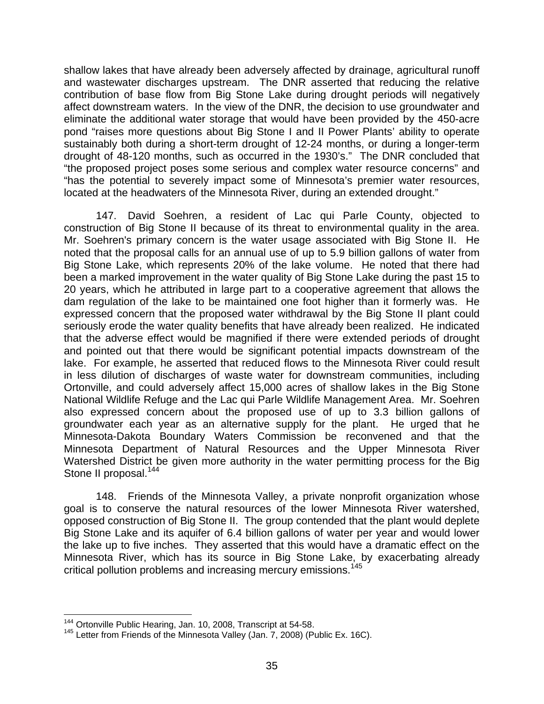shallow lakes that have already been adversely affected by drainage, agricultural runoff and wastewater discharges upstream. The DNR asserted that reducing the relative contribution of base flow from Big Stone Lake during drought periods will negatively affect downstream waters. In the view of the DNR, the decision to use groundwater and eliminate the additional water storage that would have been provided by the 450-acre pond "raises more questions about Big Stone I and II Power Plants' ability to operate sustainably both during a short-term drought of 12-24 months, or during a longer-term drought of 48-120 months, such as occurred in the 1930's." The DNR concluded that "the proposed project poses some serious and complex water resource concerns" and "has the potential to severely impact some of Minnesota's premier water resources, located at the headwaters of the Minnesota River, during an extended drought."

147. David Soehren, a resident of Lac qui Parle County, objected to construction of Big Stone II because of its threat to environmental quality in the area. Mr. Soehren's primary concern is the water usage associated with Big Stone II. He noted that the proposal calls for an annual use of up to 5.9 billion gallons of water from Big Stone Lake, which represents 20% of the lake volume. He noted that there had been a marked improvement in the water quality of Big Stone Lake during the past 15 to 20 years, which he attributed in large part to a cooperative agreement that allows the dam regulation of the lake to be maintained one foot higher than it formerly was. He expressed concern that the proposed water withdrawal by the Big Stone II plant could seriously erode the water quality benefits that have already been realized. He indicated that the adverse effect would be magnified if there were extended periods of drought and pointed out that there would be significant potential impacts downstream of the lake. For example, he asserted that reduced flows to the Minnesota River could result in less dilution of discharges of waste water for downstream communities, including Ortonville, and could adversely affect 15,000 acres of shallow lakes in the Big Stone National Wildlife Refuge and the Lac qui Parle Wildlife Management Area. Mr. Soehren also expressed concern about the proposed use of up to 3.3 billion gallons of groundwater each year as an alternative supply for the plant. He urged that he Minnesota-Dakota Boundary Waters Commission be reconvened and that the Minnesota Department of Natural Resources and the Upper Minnesota River Watershed District be given more authority in the water permitting process for the Big Stone II proposal.<sup>[144](#page-35-0)</sup>

148. Friends of the Minnesota Valley, a private nonprofit organization whose goal is to conserve the natural resources of the lower Minnesota River watershed, opposed construction of Big Stone II. The group contended that the plant would deplete Big Stone Lake and its aquifer of 6.4 billion gallons of water per year and would lower the lake up to five inches. They asserted that this would have a dramatic effect on the Minnesota River, which has its source in Big Stone Lake, by exacerbating already critical pollution problems and increasing mercury emissions.[145](#page-35-1) 

<span id="page-35-1"></span><span id="page-35-0"></span>

<sup>&</sup>lt;sup>144</sup> Ortonville Public Hearing, Jan. 10, 2008, Transcript at 54-58.<br><sup>145</sup> Letter from Friends of the Minnesota Valley (Jan. 7, 2008) (Public Ex. 16C).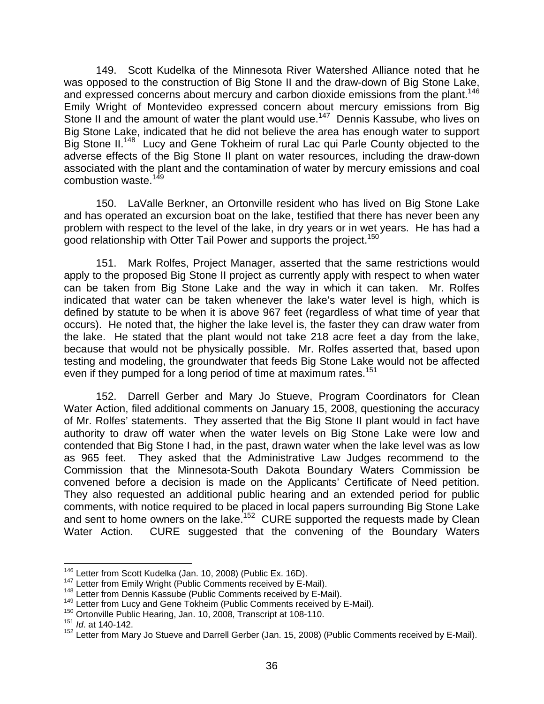149. Scott Kudelka of the Minnesota River Watershed Alliance noted that he was opposed to the construction of Big Stone II and the draw-down of Big Stone Lake, and expressed concerns about mercury and carbon dioxide emissions from the plant.<sup>146</sup> Emily Wright of Montevideo expressed concern about mercury emissions from Big Stone II and the amount of water the plant would use.<sup>147</sup> Dennis Kassube, who lives on Big Stone Lake, indicated that he did not believe the area has enough water to support Big Stone II.<sup>148</sup> Lucy and Gene Tokheim of rural Lac qui Parle County objected to the adverse effects of the Big Stone II plant on water resources, including the draw-down associated with the plant and the contamination of water by mercury emissions and coal combustion waste.<sup>[149](#page-36-3)</sup>

150. LaValle Berkner, an Ortonville resident who has lived on Big Stone Lake and has operated an excursion boat on the lake, testified that there has never been any problem with respect to the level of the lake, in dry years or in wet years. He has had a good relationship with Otter Tail Power and supports the project.<sup>[150](#page-36-4)</sup>

151. Mark Rolfes, Project Manager, asserted that the same restrictions would apply to the proposed Big Stone II project as currently apply with respect to when water can be taken from Big Stone Lake and the way in which it can taken. Mr. Rolfes indicated that water can be taken whenever the lake's water level is high, which is defined by statute to be when it is above 967 feet (regardless of what time of year that occurs). He noted that, the higher the lake level is, the faster they can draw water from the lake. He stated that the plant would not take 218 acre feet a day from the lake, because that would not be physically possible. Mr. Rolfes asserted that, based upon testing and modeling, the groundwater that feeds Big Stone Lake would not be affected even if they pumped for a long period of time at maximum rates.<sup>[151](#page-36-5)</sup>

152. Darrell Gerber and Mary Jo Stueve, Program Coordinators for Clean Water Action, filed additional comments on January 15, 2008, questioning the accuracy of Mr. Rolfes' statements. They asserted that the Big Stone II plant would in fact have authority to draw off water when the water levels on Big Stone Lake were low and contended that Big Stone I had, in the past, drawn water when the lake level was as low as 965 feet. They asked that the Administrative Law Judges recommend to the Commission that the Minnesota-South Dakota Boundary Waters Commission be convened before a decision is made on the Applicants' Certificate of Need petition. They also requested an additional public hearing and an extended period for public comments, with notice required to be placed in local papers surrounding Big Stone Lake and sent to home owners on the lake.<sup>152</sup> CURE supported the requests made by Clean Water Action. CURE suggested that the convening of the Boundary Waters

<span id="page-36-0"></span>

<span id="page-36-1"></span>

<span id="page-36-3"></span><span id="page-36-2"></span>

<sup>&</sup>lt;sup>146</sup> Letter from Scott Kudelka (Jan. 10, 2008) (Public Ex. 16D).<br><sup>147</sup> Letter from Emily Wright (Public Comments received by E-Mail).<br><sup>148</sup> Letter from Dennis Kassube (Public Comments received by E-Mail).<br><sup>149</sup> Letter fr

<span id="page-36-4"></span>

<span id="page-36-5"></span><sup>151</sup> *Id*. at 140-142.

<span id="page-36-6"></span><sup>152</sup> Letter from Mary Jo Stueve and Darrell Gerber (Jan. 15, 2008) (Public Comments received by E-Mail).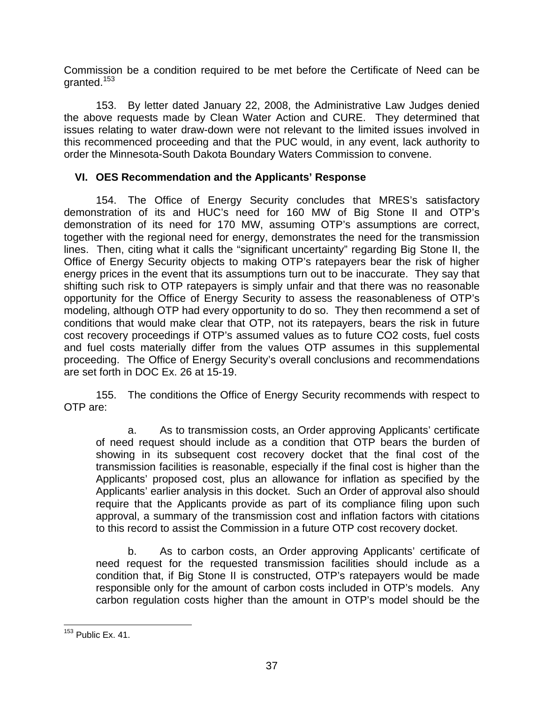<span id="page-37-0"></span>Commission be a condition required to be met before the Certificate of Need can be granted.[153](#page-37-1)

153. By letter dated January 22, 2008, the Administrative Law Judges denied the above requests made by Clean Water Action and CURE. They determined that issues relating to water draw-down were not relevant to the limited issues involved in this recommenced proceeding and that the PUC would, in any event, lack authority to order the Minnesota-South Dakota Boundary Waters Commission to convene.

### **VI. OES Recommendation and the Applicants' Response**

154. The Office of Energy Security concludes that MRES's satisfactory demonstration of its and HUC's need for 160 MW of Big Stone II and OTP's demonstration of its need for 170 MW, assuming OTP's assumptions are correct, together with the regional need for energy, demonstrates the need for the transmission lines. Then, citing what it calls the "significant uncertainty" regarding Big Stone II, the Office of Energy Security objects to making OTP's ratepayers bear the risk of higher energy prices in the event that its assumptions turn out to be inaccurate. They say that shifting such risk to OTP ratepayers is simply unfair and that there was no reasonable opportunity for the Office of Energy Security to assess the reasonableness of OTP's modeling, although OTP had every opportunity to do so. They then recommend a set of conditions that would make clear that OTP, not its ratepayers, bears the risk in future cost recovery proceedings if OTP's assumed values as to future CO2 costs, fuel costs and fuel costs materially differ from the values OTP assumes in this supplemental proceeding. The Office of Energy Security's overall conclusions and recommendations are set forth in DOC Ex. 26 at 15-19.

155. The conditions the Office of Energy Security recommends with respect to OTP are:

a. As to transmission costs, an Order approving Applicants' certificate of need request should include as a condition that OTP bears the burden of showing in its subsequent cost recovery docket that the final cost of the transmission facilities is reasonable, especially if the final cost is higher than the Applicants' proposed cost, plus an allowance for inflation as specified by the Applicants' earlier analysis in this docket. Such an Order of approval also should require that the Applicants provide as part of its compliance filing upon such approval, a summary of the transmission cost and inflation factors with citations to this record to assist the Commission in a future OTP cost recovery docket.

b. As to carbon costs, an Order approving Applicants' certificate of need request for the requested transmission facilities should include as a condition that, if Big Stone II is constructed, OTP's ratepayers would be made responsible only for the amount of carbon costs included in OTP's models. Any carbon regulation costs higher than the amount in OTP's model should be the

<span id="page-37-1"></span><sup>&</sup>lt;sup>153</sup> Public Ex. 41.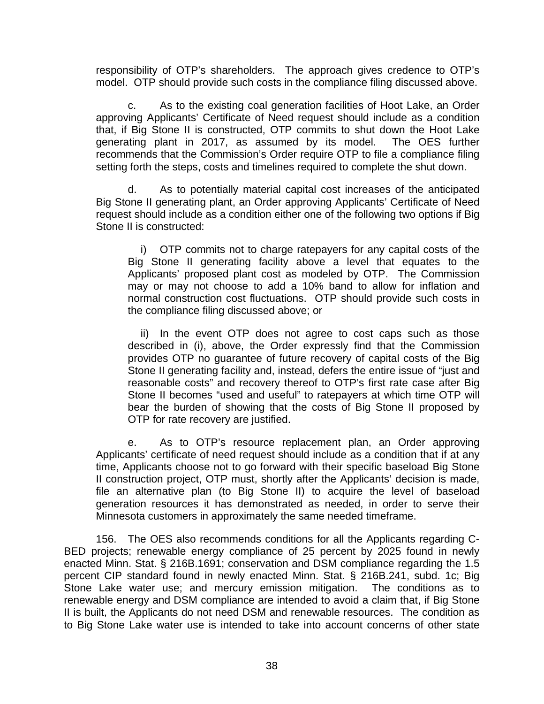responsibility of OTP's shareholders. The approach gives credence to OTP's model. OTP should provide such costs in the compliance filing discussed above.

c. As to the existing coal generation facilities of Hoot Lake, an Order approving Applicants' Certificate of Need request should include as a condition that, if Big Stone II is constructed, OTP commits to shut down the Hoot Lake generating plant in 2017, as assumed by its model. The OES further recommends that the Commission's Order require OTP to file a compliance filing setting forth the steps, costs and timelines required to complete the shut down.

d. As to potentially material capital cost increases of the anticipated Big Stone II generating plant, an Order approving Applicants' Certificate of Need request should include as a condition either one of the following two options if Big Stone II is constructed:

i) OTP commits not to charge ratepayers for any capital costs of the Big Stone II generating facility above a level that equates to the Applicants' proposed plant cost as modeled by OTP. The Commission may or may not choose to add a 10% band to allow for inflation and normal construction cost fluctuations. OTP should provide such costs in the compliance filing discussed above; or

ii) In the event OTP does not agree to cost caps such as those described in (i), above, the Order expressly find that the Commission provides OTP no guarantee of future recovery of capital costs of the Big Stone II generating facility and, instead, defers the entire issue of "just and reasonable costs" and recovery thereof to OTP's first rate case after Big Stone II becomes "used and useful" to ratepayers at which time OTP will bear the burden of showing that the costs of Big Stone II proposed by OTP for rate recovery are justified.

e. As to OTP's resource replacement plan, an Order approving Applicants' certificate of need request should include as a condition that if at any time, Applicants choose not to go forward with their specific baseload Big Stone II construction project, OTP must, shortly after the Applicants' decision is made, file an alternative plan (to Big Stone II) to acquire the level of baseload generation resources it has demonstrated as needed, in order to serve their Minnesota customers in approximately the same needed timeframe.

156. The OES also recommends conditions for all the Applicants regarding C-BED projects; renewable energy compliance of 25 percent by 2025 found in newly enacted Minn. Stat. § 216B.1691; conservation and DSM compliance regarding the 1.5 percent CIP standard found in newly enacted Minn. Stat. § 216B.241, subd. 1c; Big Stone Lake water use; and mercury emission mitigation. The conditions as to renewable energy and DSM compliance are intended to avoid a claim that, if Big Stone II is built, the Applicants do not need DSM and renewable resources. The condition as to Big Stone Lake water use is intended to take into account concerns of other state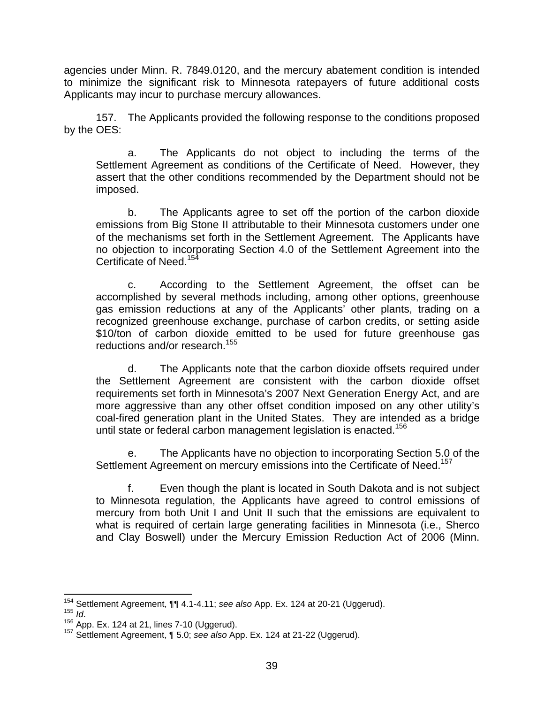agencies under Minn. R. 7849.0120, and the mercury abatement condition is intended to minimize the significant risk to Minnesota ratepayers of future additional costs Applicants may incur to purchase mercury allowances.

157. The Applicants provided the following response to the conditions proposed by the OES:

a. The Applicants do not object to including the terms of the Settlement Agreement as conditions of the Certificate of Need. However, they assert that the other conditions recommended by the Department should not be imposed.

b. The Applicants agree to set off the portion of the carbon dioxide emissions from Big Stone II attributable to their Minnesota customers under one of the mechanisms set forth in the Settlement Agreement. The Applicants have no objection to incorporating Section 4.0 of the Settlement Agreement into the Certificate of Need.<sup>[154](#page-39-0)</sup>

c. According to the Settlement Agreement, the offset can be accomplished by several methods including, among other options, greenhouse gas emission reductions at any of the Applicants' other plants, trading on a recognized greenhouse exchange, purchase of carbon credits, or setting aside \$10/ton of carbon dioxide emitted to be used for future greenhouse gas reductions and/or research.<sup>155</sup>

d. The Applicants note that the carbon dioxide offsets required under the Settlement Agreement are consistent with the carbon dioxide offset requirements set forth in Minnesota's 2007 Next Generation Energy Act, and are more aggressive than any other offset condition imposed on any other utility's coal-fired generation plant in the United States. They are intended as a bridge until state or federal carbon management legislation is enacted.<sup>[156](#page-39-2)</sup>

e. The Applicants have no objection to incorporating Section 5.0 of the Settlement Agreement on mercury emissions into the Certificate of Need.<sup>[157](#page-39-3)</sup>

f. Even though the plant is located in South Dakota and is not subject to Minnesota regulation, the Applicants have agreed to control emissions of mercury from both Unit I and Unit II such that the emissions are equivalent to what is required of certain large generating facilities in Minnesota (i.e., Sherco and Clay Boswell) under the Mercury Emission Reduction Act of 2006 (Minn.

<span id="page-39-0"></span><sup>&</sup>lt;sup>154</sup> Settlement Agreement,  $\P\P$  4.1-4.11; see also App. Ex. 124 at 20-21 (Uggerud).<br><sup>155</sup> *Id.*<br><sup>156</sup> App. Ex. 124 at 21, lines 7-10 (Uggerud).<br><sup>157</sup> Settlement Agreement,  $\P$  5.0; see also App. Ex. 124 at 21-22 (Uggerud

<span id="page-39-1"></span>

<span id="page-39-2"></span>

<span id="page-39-3"></span>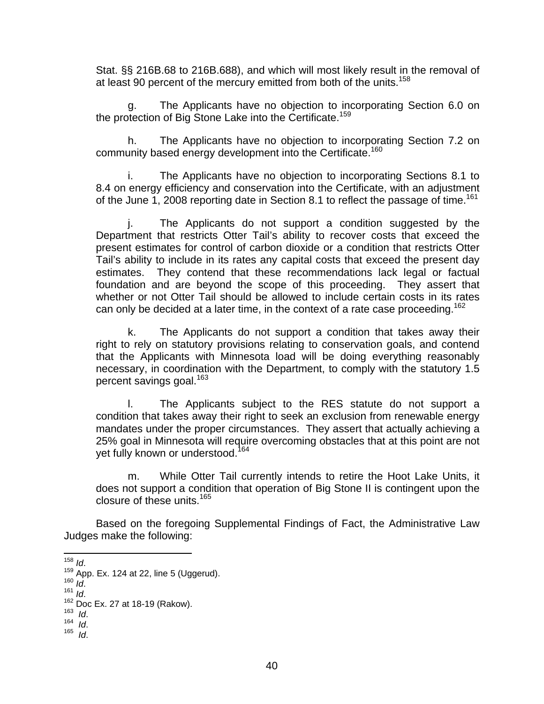Stat. §§ 216B.68 to 216B.688), and which will most likely result in the removal of at least 90 percent of the mercury emitted from both of the units.<sup>[158](#page-40-0)</sup>

g. The Applicants have no objection to incorporating Section 6.0 on the protection of Big Stone Lake into the Certificate.<sup>[159](#page-40-1)</sup>

h. The Applicants have no objection to incorporating Section 7.2 on community based energy development into the Certificate.<sup>[160](#page-40-2)</sup>

i. The Applicants have no objection to incorporating Sections 8.1 to 8.4 on energy efficiency and conservation into the Certificate, with an adjustment of the June 1, 2008 reporting date in Section 8.1 to reflect the passage of time.<sup>[161](#page-40-3)</sup>

j. The Applicants do not support a condition suggested by the Department that restricts Otter Tail's ability to recover costs that exceed the present estimates for control of carbon dioxide or a condition that restricts Otter Tail's ability to include in its rates any capital costs that exceed the present day estimates. They contend that these recommendations lack legal or factual foundation and are beyond the scope of this proceeding. They assert that whether or not Otter Tail should be allowed to include certain costs in its rates can only be decided at a later time, in the context of a rate case proceeding.<sup>[162](#page-40-4)</sup>

k. The Applicants do not support a condition that takes away their right to rely on statutory provisions relating to conservation goals, and contend that the Applicants with Minnesota load will be doing everything reasonably necessary, in coordination with the Department, to comply with the statutory 1.5 percent savings goal.<sup>[163](#page-40-5)</sup>

l. The Applicants subject to the RES statute do not support a condition that takes away their right to seek an exclusion from renewable energy mandates under the proper circumstances. They assert that actually achieving a 25% goal in Minnesota will require overcoming obstacles that at this point are not yet fully known or understood.<sup>[164](#page-40-6)</sup>

m. While Otter Tail currently intends to retire the Hoot Lake Units, it does not support a condition that operation of Big Stone II is contingent upon the closure of these units [165](#page-40-7)

Based on the foregoing Supplemental Findings of Fact, the Administrative Law Judges make the following:

<span id="page-40-0"></span>

<sup>158</sup> *Id.*<br>
<sup>159</sup> App. Ex. 124 at 22, line 5 (Uggerud).<br>
<sup>160</sup> *Id.*<br>
<sup>161</sup> *Id.*<br>
<sup>162</sup> Doc Ex. 27 at 18-19 (Rakow).<br>
<sup>163</sup> *Id.*<br>
<sup>164</sup> *Id.* 165 *Id* 

<span id="page-40-2"></span><span id="page-40-1"></span>

<span id="page-40-3"></span>

<span id="page-40-4"></span>

<span id="page-40-5"></span>

<span id="page-40-7"></span><span id="page-40-6"></span>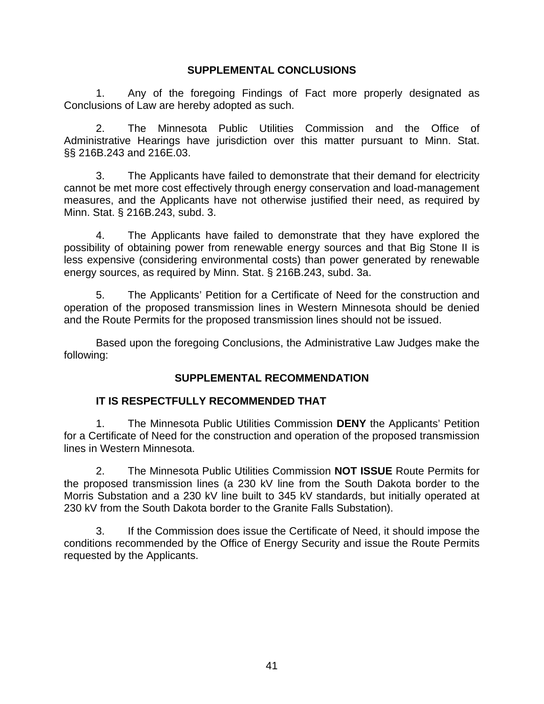### **SUPPLEMENTAL CONCLUSIONS**

<span id="page-41-0"></span>1. Any of the foregoing Findings of Fact more properly designated as Conclusions of Law are hereby adopted as such.

2. The Minnesota Public Utilities Commission and the Office of Administrative Hearings have jurisdiction over this matter pursuant to Minn. Stat. §§ 216B.243 and 216E.03.

3. The Applicants have failed to demonstrate that their demand for electricity cannot be met more cost effectively through energy conservation and load-management measures, and the Applicants have not otherwise justified their need, as required by Minn. Stat. § 216B.243, subd. 3.

4. The Applicants have failed to demonstrate that they have explored the possibility of obtaining power from renewable energy sources and that Big Stone II is less expensive (considering environmental costs) than power generated by renewable energy sources, as required by Minn. Stat. § 216B.243, subd. 3a.

5. The Applicants' Petition for a Certificate of Need for the construction and operation of the proposed transmission lines in Western Minnesota should be denied and the Route Permits for the proposed transmission lines should not be issued.

Based upon the foregoing Conclusions, the Administrative Law Judges make the following:

# **SUPPLEMENTAL RECOMMENDATION**

### **IT IS RESPECTFULLY RECOMMENDED THAT**

1. The Minnesota Public Utilities Commission **DENY** the Applicants' Petition for a Certificate of Need for the construction and operation of the proposed transmission lines in Western Minnesota.

2. The Minnesota Public Utilities Commission **NOT ISSUE** Route Permits for the proposed transmission lines (a 230 kV line from the South Dakota border to the Morris Substation and a 230 kV line built to 345 kV standards, but initially operated at 230 kV from the South Dakota border to the Granite Falls Substation).

3. If the Commission does issue the Certificate of Need, it should impose the conditions recommended by the Office of Energy Security and issue the Route Permits requested by the Applicants.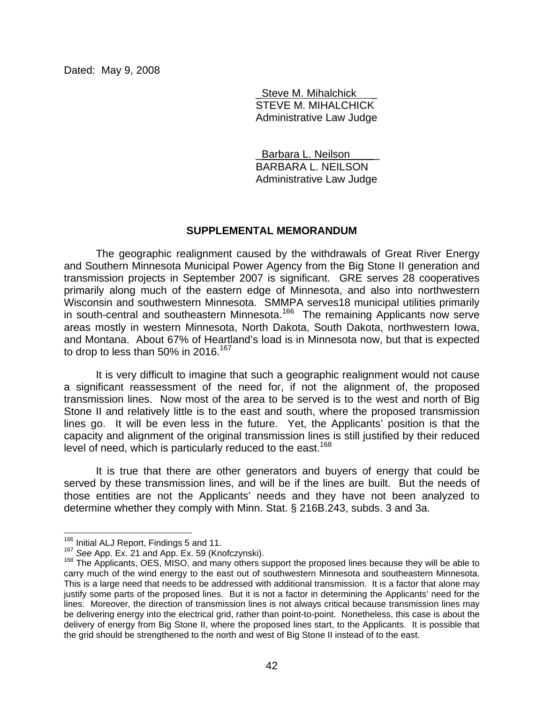<span id="page-42-0"></span>Dated: May 9, 2008

Steve M. Mihalchick STEVE M. MIHALCHICK Administrative Law Judge

Barbara L. Neilson BARBARA L. NEILSON Administrative Law Judge

#### **SUPPLEMENTAL MEMORANDUM**

The geographic realignment caused by the withdrawals of Great River Energy and Southern Minnesota Municipal Power Agency from the Big Stone II generation and transmission projects in September 2007 is significant. GRE serves 28 cooperatives primarily along much of the eastern edge of Minnesota, and also into northwestern Wisconsin and southwestern Minnesota. SMMPA serves18 municipal utilities primarily in south-central and southeastern Minnesota.<sup>166</sup> The remaining Applicants now serve areas mostly in western Minnesota, North Dakota, South Dakota, northwestern Iowa, and Montana. About 67% of Heartland's load is in Minnesota now, but that is expected to drop to less than 50% in 2016.<sup>[167](#page-42-2)</sup>

It is very difficult to imagine that such a geographic realignment would not cause a significant reassessment of the need for, if not the alignment of, the proposed transmission lines. Now most of the area to be served is to the west and north of Big Stone II and relatively little is to the east and south, where the proposed transmission lines go. It will be even less in the future. Yet, the Applicants' position is that the capacity and alignment of the original transmission lines is still justified by their reduced level of need, which is particularly reduced to the east.<sup>168</sup>

It is true that there are other generators and buyers of energy that could be served by these transmission lines, and will be if the lines are built. But the needs of those entities are not the Applicants' needs and they have not been analyzed to determine whether they comply with Minn. Stat. § 216B.243, subds. 3 and 3a.

<span id="page-42-1"></span>

<span id="page-42-3"></span><span id="page-42-2"></span>

<sup>&</sup>lt;sup>166</sup> Initial ALJ Report, Findings 5 and 11.<br><sup>167</sup> See App. Ex. 21 and App. Ex. 59 (Knofczynski).<br><sup>168</sup> The Applicants, OES, MISO, and many others support the proposed lines because they will be able to carry much of the wind energy to the east out of southwestern Minnesota and southeastern Minnesota. This is a large need that needs to be addressed with additional transmission. It is a factor that alone may justify some parts of the proposed lines. But it is not a factor in determining the Applicants' need for the lines. Moreover, the direction of transmission lines is not always critical because transmission lines may be delivering energy into the electrical grid, rather than point-to-point. Nonetheless, this case is about the delivery of energy from Big Stone II, where the proposed lines start, to the Applicants. It is possible that the grid should be strengthened to the north and west of Big Stone II instead of to the east.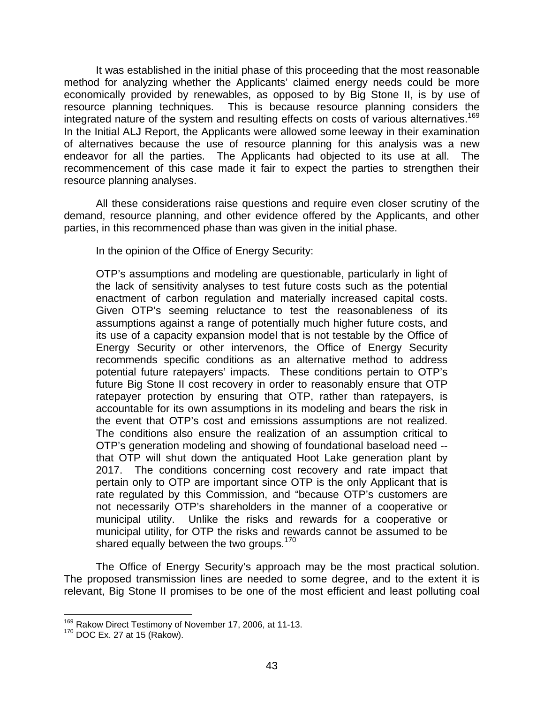It was established in the initial phase of this proceeding that the most reasonable method for analyzing whether the Applicants' claimed energy needs could be more economically provided by renewables, as opposed to by Big Stone II, is by use of resource planning techniques. This is because resource planning considers the integrated nature of the system and resulting effects on costs of various alternatives.<sup>169</sup> In the Initial ALJ Report, the Applicants were allowed some leeway in their examination of alternatives because the use of resource planning for this analysis was a new endeavor for all the parties. The Applicants had objected to its use at all. The recommencement of this case made it fair to expect the parties to strengthen their resource planning analyses.

All these considerations raise questions and require even closer scrutiny of the demand, resource planning, and other evidence offered by the Applicants, and other parties, in this recommenced phase than was given in the initial phase.

In the opinion of the Office of Energy Security:

OTP's assumptions and modeling are questionable, particularly in light of the lack of sensitivity analyses to test future costs such as the potential enactment of carbon regulation and materially increased capital costs. Given OTP's seeming reluctance to test the reasonableness of its assumptions against a range of potentially much higher future costs, and its use of a capacity expansion model that is not testable by the Office of Energy Security or other intervenors, the Office of Energy Security recommends specific conditions as an alternative method to address potential future ratepayers' impacts. These conditions pertain to OTP's future Big Stone II cost recovery in order to reasonably ensure that OTP ratepayer protection by ensuring that OTP, rather than ratepayers, is accountable for its own assumptions in its modeling and bears the risk in the event that OTP's cost and emissions assumptions are not realized. The conditions also ensure the realization of an assumption critical to OTP's generation modeling and showing of foundational baseload need - that OTP will shut down the antiquated Hoot Lake generation plant by 2017. The conditions concerning cost recovery and rate impact that pertain only to OTP are important since OTP is the only Applicant that is rate regulated by this Commission, and "because OTP's customers are not necessarily OTP's shareholders in the manner of a cooperative or municipal utility. Unlike the risks and rewards for a cooperative or municipal utility, for OTP the risks and rewards cannot be assumed to be shared equally between the two groups.<sup>[170](#page-43-1)</sup>

The Office of Energy Security's approach may be the most practical solution. The proposed transmission lines are needed to some degree, and to the extent it is relevant, Big Stone II promises to be one of the most efficient and least polluting coal

<span id="page-43-0"></span><sup>&</sup>lt;sup>169</sup> Rakow Direct Testimony of November 17, 2006, at 11-13.

<span id="page-43-1"></span><sup>170</sup> DOC Ex. 27 at 15 (Rakow).